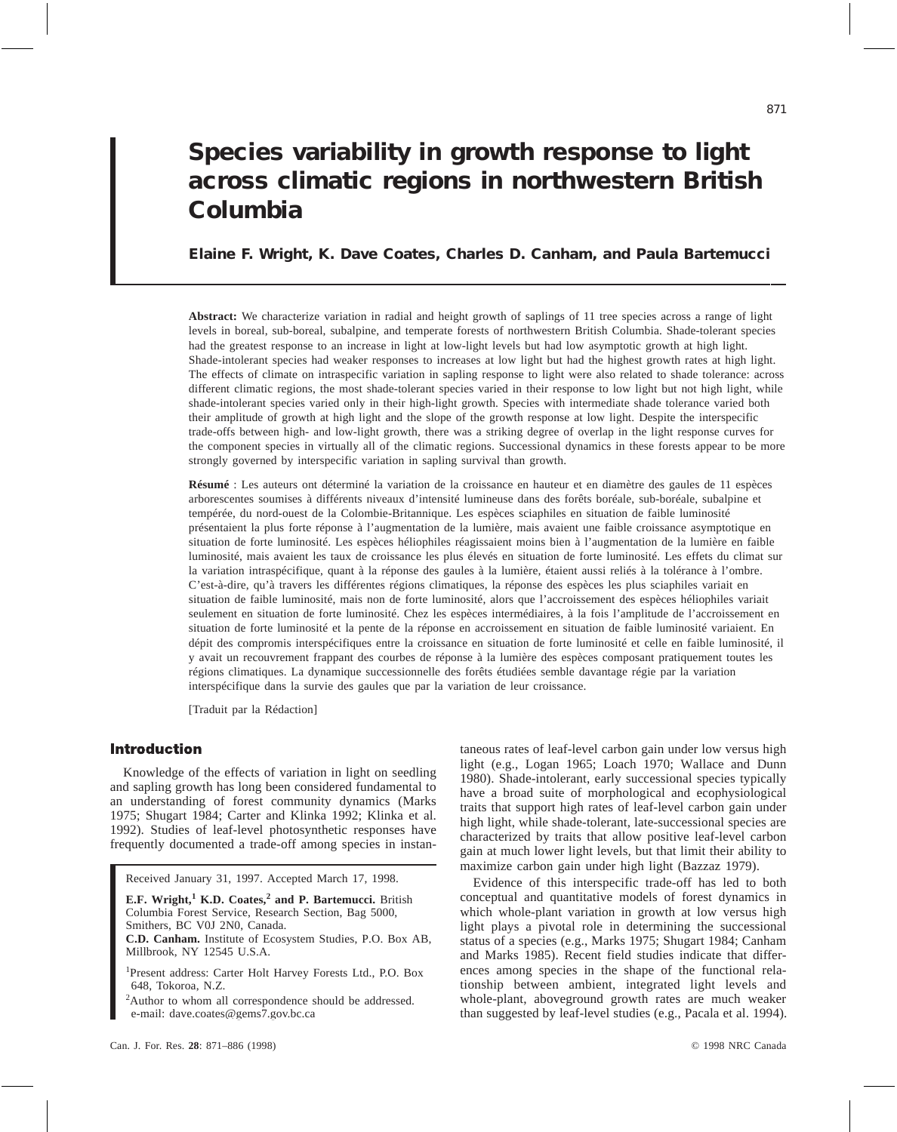871

# **Species variability in growth response to light across climatic regions in northwestern British Columbia**

# **Elaine F. Wright, K. Dave Coates, Charles D. Canham, and Paula Bartemucci**

**Abstract:** We characterize variation in radial and height growth of saplings of 11 tree species across a range of light levels in boreal, sub-boreal, subalpine, and temperate forests of northwestern British Columbia. Shade-tolerant species had the greatest response to an increase in light at low-light levels but had low asymptotic growth at high light. Shade-intolerant species had weaker responses to increases at low light but had the highest growth rates at high light. The effects of climate on intraspecific variation in sapling response to light were also related to shade tolerance: across different climatic regions, the most shade-tolerant species varied in their response to low light but not high light, while shade-intolerant species varied only in their high-light growth. Species with intermediate shade tolerance varied both their amplitude of growth at high light and the slope of the growth response at low light. Despite the interspecific trade-offs between high- and low-light growth, there was a striking degree of overlap in the light response curves for the component species in virtually all of the climatic regions. Successional dynamics in these forests appear to be more strongly governed by interspecific variation in sapling survival than growth.

**Résumé** : Les auteurs ont déterminé la variation de la croissance en hauteur et en diamètre des gaules de 11 espèces arborescentes soumises à différents niveaux d'intensité lumineuse dans des forêts boréale, sub-boréale, subalpine et tempérée, du nord-ouest de la Colombie-Britannique. Les espèces sciaphiles en situation de faible luminosité présentaient la plus forte réponse à l'augmentation de la lumière, mais avaient une faible croissance asymptotique en situation de forte luminosité. Les espèces héliophiles réagissaient moins bien à l'augmentation de la lumière en faible luminosité, mais avaient les taux de croissance les plus élevés en situation de forte luminosité. Les effets du climat sur la variation intraspécifique, quant à la réponse des gaules à la lumière, étaient aussi reliés à la tolérance à l'ombre. C'est-à-dire, qu'à travers les différentes régions climatiques, la réponse des espèces les plus sciaphiles variait en situation de faible luminosité, mais non de forte luminosité, alors que l'accroissement des espèces héliophiles variait seulement en situation de forte luminosité. Chez les espèces intermédiaires, à la fois l'amplitude de l'accroissement en situation de forte luminosité et la pente de la réponse en accroissement en situation de faible luminosité variaient. En dépit des compromis interspécifiques entre la croissance en situation de forte luminosité et celle en faible luminosité, il y avait un recouvrement frappant des courbes de réponse à la lumière des espèces composant pratiquement toutes les régions climatiques. La dynamique successionnelle des forêts étudiées semble davantage régie par la variation interspécifique dans la survie des gaules que par la variation de leur croissance.

[Traduit par la Rédaction]

# **Introduction**

Knowledge of the effects of variation in light on seedling and sapling growth has long been considered fundamental to an understanding of forest community dynamics (Marks 1975; Shugart 1984; Carter and Klinka 1992; Klinka et al. 1992). Studies of leaf-level photosynthetic responses have frequently documented a trade-off among species in instan-

Received January 31, 1997. Accepted March 17, 1998.

**E.F. Wright,<sup>1</sup> K.D. Coates,<sup>2</sup> and P. Bartemucci.** British Columbia Forest Service, Research Section, Bag 5000, Smithers, BC V0J 2N0, Canada.

- **C.D. Canham.** Institute of Ecosystem Studies, P.O. Box AB, Millbrook, NY 12545 U.S.A.
- 1 Present address: Carter Holt Harvey Forests Ltd., P.O. Box 648, Tokoroa, N.Z.
- <sup>2</sup>Author to whom all correspondence should be addressed. e-mail: dave.coates@gems7.gov.bc.ca

taneous rates of leaf-level carbon gain under low versus high light (e.g., Logan 1965; Loach 1970; Wallace and Dunn 1980). Shade-intolerant, early successional species typically have a broad suite of morphological and ecophysiological traits that support high rates of leaf-level carbon gain under high light, while shade-tolerant, late-successional species are characterized by traits that allow positive leaf-level carbon gain at much lower light levels, but that limit their ability to maximize carbon gain under high light (Bazzaz 1979).

Evidence of this interspecific trade-off has led to both conceptual and quantitative models of forest dynamics in which whole-plant variation in growth at low versus high light plays a pivotal role in determining the successional status of a species (e.g., Marks 1975; Shugart 1984; Canham and Marks 1985). Recent field studies indicate that differences among species in the shape of the functional relationship between ambient, integrated light levels and whole-plant, aboveground growth rates are much weaker than suggested by leaf-level studies (e.g., Pacala et al. 1994).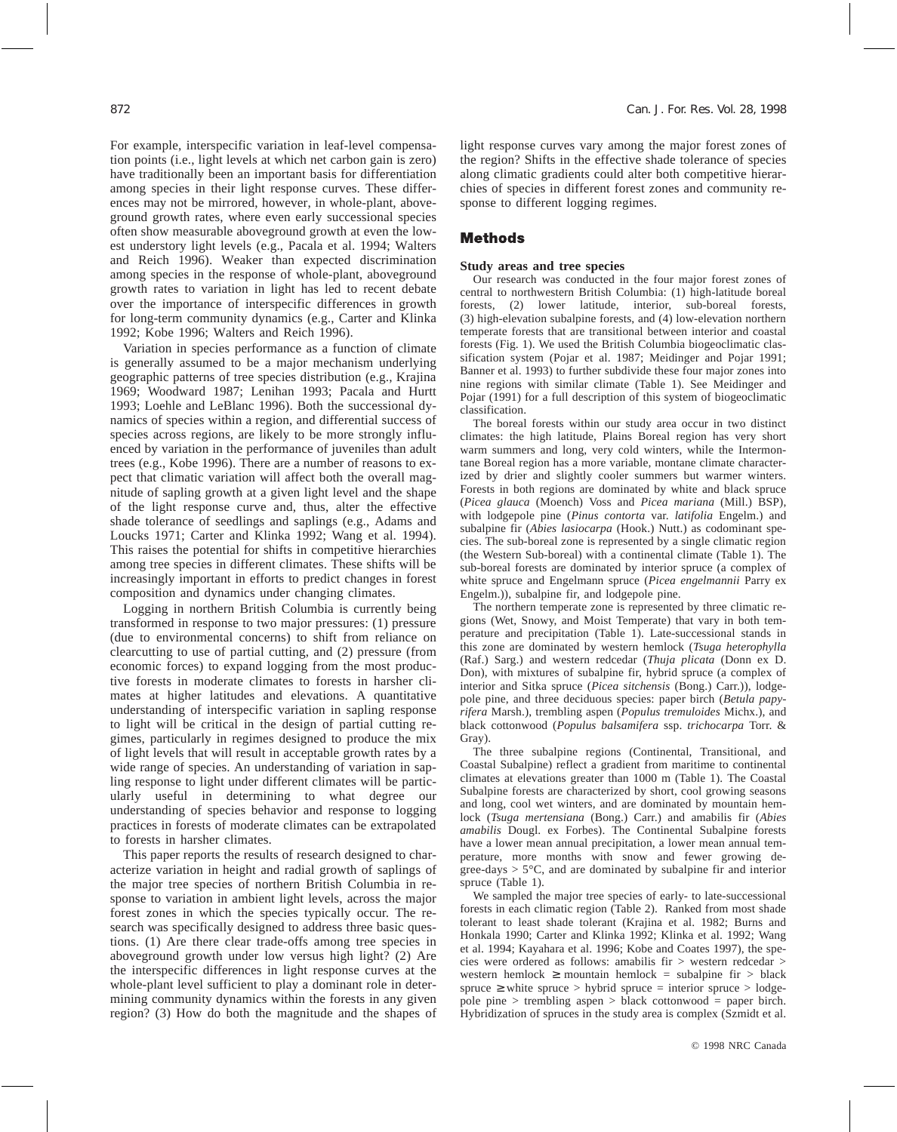For example, interspecific variation in leaf-level compensation points (i.e., light levels at which net carbon gain is zero) have traditionally been an important basis for differentiation among species in their light response curves. These differences may not be mirrored, however, in whole-plant, aboveground growth rates, where even early successional species often show measurable aboveground growth at even the lowest understory light levels (e.g., Pacala et al. 1994; Walters and Reich 1996). Weaker than expected discrimination among species in the response of whole-plant, aboveground growth rates to variation in light has led to recent debate over the importance of interspecific differences in growth for long-term community dynamics (e.g., Carter and Klinka 1992; Kobe 1996; Walters and Reich 1996).

Variation in species performance as a function of climate is generally assumed to be a major mechanism underlying geographic patterns of tree species distribution (e.g., Krajina 1969; Woodward 1987; Lenihan 1993; Pacala and Hurtt 1993; Loehle and LeBlanc 1996). Both the successional dynamics of species within a region, and differential success of species across regions, are likely to be more strongly influenced by variation in the performance of juveniles than adult trees (e.g., Kobe 1996). There are a number of reasons to expect that climatic variation will affect both the overall magnitude of sapling growth at a given light level and the shape of the light response curve and, thus, alter the effective shade tolerance of seedlings and saplings (e.g., Adams and Loucks 1971; Carter and Klinka 1992; Wang et al. 1994). This raises the potential for shifts in competitive hierarchies among tree species in different climates. These shifts will be increasingly important in efforts to predict changes in forest composition and dynamics under changing climates.

Logging in northern British Columbia is currently being transformed in response to two major pressures: (1) pressure (due to environmental concerns) to shift from reliance on clearcutting to use of partial cutting, and (2) pressure (from economic forces) to expand logging from the most productive forests in moderate climates to forests in harsher climates at higher latitudes and elevations. A quantitative understanding of interspecific variation in sapling response to light will be critical in the design of partial cutting regimes, particularly in regimes designed to produce the mix of light levels that will result in acceptable growth rates by a wide range of species. An understanding of variation in sapling response to light under different climates will be particularly useful in determining to what degree our understanding of species behavior and response to logging practices in forests of moderate climates can be extrapolated to forests in harsher climates.

This paper reports the results of research designed to characterize variation in height and radial growth of saplings of the major tree species of northern British Columbia in response to variation in ambient light levels, across the major forest zones in which the species typically occur. The research was specifically designed to address three basic questions. (1) Are there clear trade-offs among tree species in aboveground growth under low versus high light? (2) Are the interspecific differences in light response curves at the whole-plant level sufficient to play a dominant role in determining community dynamics within the forests in any given region? (3) How do both the magnitude and the shapes of light response curves vary among the major forest zones of the region? Shifts in the effective shade tolerance of species along climatic gradients could alter both competitive hierarchies of species in different forest zones and community response to different logging regimes.

# **Methods**

#### **Study areas and tree species**

Our research was conducted in the four major forest zones of central to northwestern British Columbia: (1) high-latitude boreal forests, (2) lower latitude, interior, sub-boreal forests, (3) high-elevation subalpine forests, and (4) low-elevation northern temperate forests that are transitional between interior and coastal forests (Fig. 1). We used the British Columbia biogeoclimatic classification system (Pojar et al. 1987; Meidinger and Pojar 1991; Banner et al. 1993) to further subdivide these four major zones into nine regions with similar climate (Table 1). See Meidinger and Pojar (1991) for a full description of this system of biogeoclimatic classification.

The boreal forests within our study area occur in two distinct climates: the high latitude, Plains Boreal region has very short warm summers and long, very cold winters, while the Intermontane Boreal region has a more variable, montane climate characterized by drier and slightly cooler summers but warmer winters. Forests in both regions are dominated by white and black spruce (*Picea glauca* (Moench) Voss and *Picea mariana* (Mill.) BSP), with lodgepole pine (*Pinus contorta* var. *latifolia* Engelm.) and subalpine fir (*Abies lasiocarpa* (Hook.) Nutt.) as codominant species. The sub-boreal zone is represented by a single climatic region (the Western Sub-boreal) with a continental climate (Table 1). The sub-boreal forests are dominated by interior spruce (a complex of white spruce and Engelmann spruce (*Picea engelmannii* Parry ex Engelm.)), subalpine fir, and lodgepole pine.

The northern temperate zone is represented by three climatic regions (Wet, Snowy, and Moist Temperate) that vary in both temperature and precipitation (Table 1). Late-successional stands in this zone are dominated by western hemlock (*Tsuga heterophylla* (Raf.) Sarg.) and western redcedar (*Thuja plicata* (Donn ex D. Don), with mixtures of subalpine fir, hybrid spruce (a complex of interior and Sitka spruce (*Picea sitchensis* (Bong.) Carr.)), lodgepole pine, and three deciduous species: paper birch (*Betula papyrifera* Marsh.), trembling aspen (*Populus tremuloides* Michx.), and black cottonwood (*Populus balsamifera* ssp. *trichocarpa* Torr. & Gray).

The three subalpine regions (Continental, Transitional, and Coastal Subalpine) reflect a gradient from maritime to continental climates at elevations greater than 1000 m (Table 1). The Coastal Subalpine forests are characterized by short, cool growing seasons and long, cool wet winters, and are dominated by mountain hemlock (*Tsuga mertensiana* (Bong.) Carr.) and amabilis fir (*Abies amabilis* Dougl. ex Forbes). The Continental Subalpine forests have a lower mean annual precipitation, a lower mean annual temperature, more months with snow and fewer growing degree-days  $> 5^{\circ}$ C, and are dominated by subalpine fir and interior spruce (Table 1).

We sampled the major tree species of early- to late-successional forests in each climatic region (Table 2). Ranked from most shade tolerant to least shade tolerant (Krajina et al. 1982; Burns and Honkala 1990; Carter and Klinka 1992; Klinka et al. 1992; Wang et al. 1994; Kayahara et al. 1996; Kobe and Coates 1997), the species were ordered as follows: amabilis fir > western redcedar > western hemlock  $\geq$  mountain hemlock = subalpine fir  $>$  black spruce  $\geq$  white spruce  $>$  hybrid spruce  $=$  interior spruce  $>$  lodgepole pine > trembling aspen > black cottonwood = paper birch. Hybridization of spruces in the study area is complex (Szmidt et al.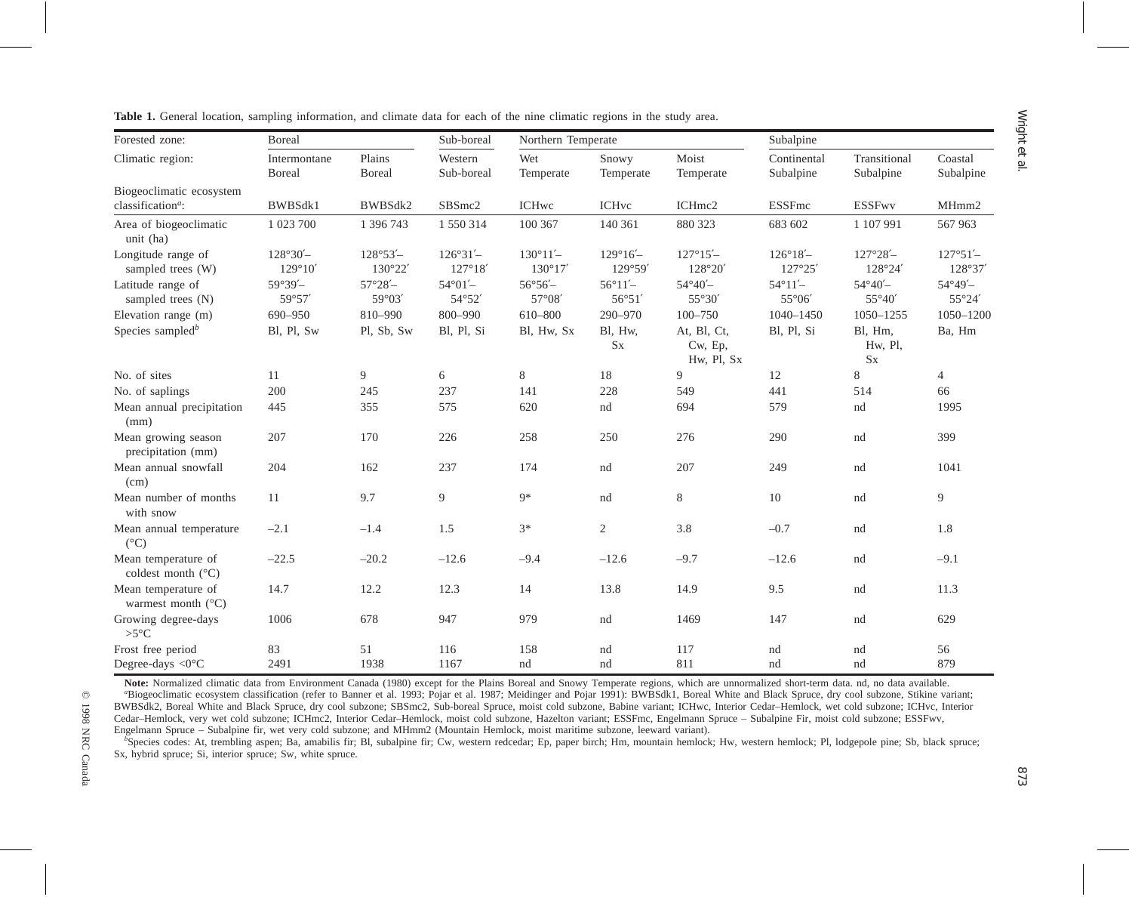| Forested zone:<br>Climatic region:                 | <b>Boreal</b>                 |                                        | Sub-boreal                      |                                      | Northern Temperate                |                                      | Subalpine                     |                                              |                        |
|----------------------------------------------------|-------------------------------|----------------------------------------|---------------------------------|--------------------------------------|-----------------------------------|--------------------------------------|-------------------------------|----------------------------------------------|------------------------|
|                                                    | Intermontane<br><b>Boreal</b> | Plains<br><b>Boreal</b>                | Western<br>Sub-boreal           | Wet<br>Temperate                     | Snowy<br>Temperate                | Moist<br>Temperate                   | Continental<br>Subalpine      | Transitional<br>Subalpine                    | Coastal<br>Subalpine   |
| Biogeoclimatic ecosystem                           |                               |                                        |                                 |                                      |                                   |                                      |                               |                                              |                        |
| classification <sup><math>a</math></sup> :         | <b>BWBSdk1</b>                | BWBSdk2                                | SBSmc2                          | <b>ICHwc</b>                         | <b>ICHvc</b>                      | ICHmc2                               | <b>ESSFmc</b>                 | <b>ESSFwv</b>                                | MHmm2                  |
| Area of biogeoclimatic<br>unit (ha)                | 1 023 700                     | 1 396 743                              | 1 550 314                       | 100 367                              | 140 361                           | 880 323                              | 683 602                       | 1 107 991                                    | 567 963                |
| Longitude range of<br>sampled trees (W)            | 128°30'-<br>$129^{\circ}10'$  | $128^{\circ}53' -$<br>$130^{\circ}22'$ | $126°31' -$<br>$127^{\circ}18'$ | $130^{\circ}11'$<br>$130^{\circ}17'$ | $129^{\circ}16'$<br>129°59'       | $127^{\circ}15'$<br>128°20'          | $126^{\circ}18' -$<br>127°25' | $127^{\circ}28'$<br>128°24'                  | $127°51' -$<br>128°37' |
| Latitude range of<br>sampled trees (N)             | 59°39'-<br>59°57'             | $57^{\circ}28'$<br>59°03'              | $54^{\circ}01'$<br>54°52'       | $56^{\circ}56' -$<br>57°08'          | $56^{\circ}11' -$<br>56°51'       | $54^{\circ}40^{\prime}$<br>55°30'    | $54^{\circ}11' -$<br>55°06'   | $54^{\circ}40'$ -<br>$55^{\circ}40'$         | 54°49′-<br>55°24'      |
| Elevation range (m)                                | 690-950                       | 810-990                                | 800-990                         | 610-800                              | 290-970                           | $100 - 750$                          | 1040-1450                     | 1050-1255                                    | 1050-1200              |
| Species sampled <sup>b</sup>                       | Bl, Pl, Sw                    | Pl, Sb, Sw                             | Bl, Pl, Si                      | Bl, Hw, Sx                           | Bl, Hw,<br>$\mathbf{S}\mathbf{x}$ | At, Bl, Ct,<br>Cw, Ep,<br>Hw, Pl, Sx | Bl, Pl, Si                    | Bl, Hm,<br>Hw, Pl,<br>$\mathbf{S}\mathbf{x}$ | Ba, Hm                 |
| No. of sites                                       | 11                            | 9                                      | $\sqrt{6}$                      | $8\,$                                | 18                                | 9                                    | 12                            | 8                                            | $\overline{4}$         |
| No. of saplings                                    | 200                           | 245                                    | 237                             | 141                                  | 228                               | 549                                  | 441                           | 514                                          | 66                     |
| Mean annual precipitation<br>(mm)                  | 445                           | 355                                    | 575                             | 620                                  | nd                                | 694                                  | 579                           | nd                                           | 1995                   |
| Mean growing season<br>precipitation (mm)          | 207                           | 170                                    | 226                             | 258                                  | 250                               | 276                                  | 290                           | nd                                           | 399                    |
| Mean annual snowfall<br>(cm)                       | 204                           | 162                                    | 237                             | 174                                  | nd                                | 207                                  | 249                           | nd                                           | 1041                   |
| Mean number of months<br>with snow                 | 11                            | 9.7                                    | $\boldsymbol{9}$                | $9*$                                 | nd                                | $8\,$                                | $10\,$                        | nd                                           | $\boldsymbol{9}$       |
| Mean annual temperature<br>$(^{\circ}C)$           | $-2.1$                        | $-1.4$                                 | 1.5                             | $3*$                                 | $\overline{2}$                    | 3.8                                  | $-0.7$                        | nd                                           | 1.8                    |
| Mean temperature of<br>coldest month (°C)          | $-22.5$                       | $-20.2$                                | $-12.6$                         | $-9.4$                               | $-12.6$                           | $-9.7$                               | $-12.6$                       | nd                                           | $-9.1$                 |
| Mean temperature of<br>warmest month $(^{\circ}C)$ | 14.7                          | 12.2                                   | 12.3                            | 14                                   | 13.8                              | 14.9                                 | 9.5                           | nd                                           | 11.3                   |
| Growing degree-days<br>$>5^{\circ}C$               | 1006                          | 678                                    | 947                             | 979                                  | nd                                | 1469                                 | 147                           | nd                                           | 629                    |
| Frost free period                                  | 83                            | 51                                     | 116                             | 158                                  | nd                                | 117                                  | nd                            | nd                                           | 56                     |
| Degree-days $\langle 0$ <sup>o</sup> C             | 2491                          | 1938                                   | 1167                            | nd                                   | nd                                | 811                                  | nd                            | nd                                           | 879                    |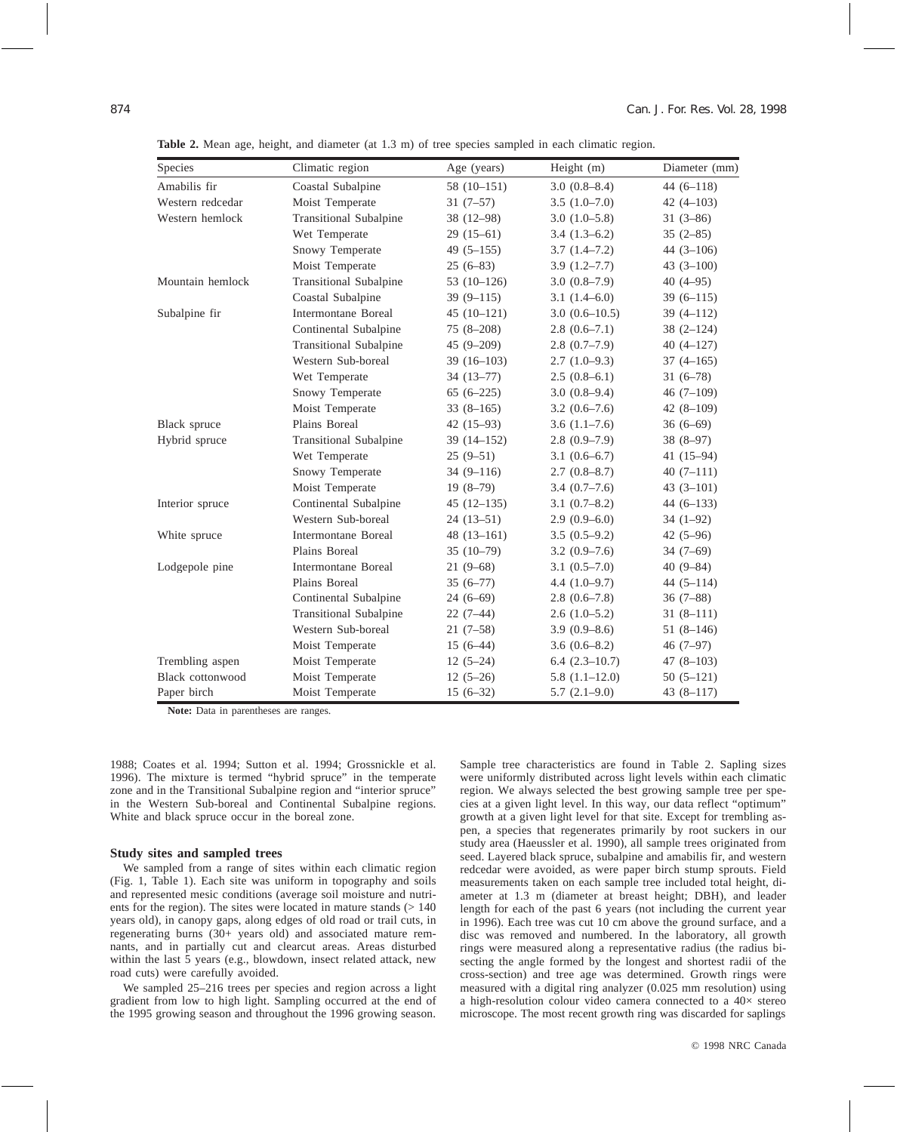| Species                 | Climatic region               | Age (years)   | Height (m)       | Diameter (mm) |
|-------------------------|-------------------------------|---------------|------------------|---------------|
| Amabilis fir            | Coastal Subalpine             | 58 (10-151)   | $3.0(0.8-8.4)$   | $44(6-118)$   |
| Western redcedar        | Moist Temperate               | $31(7-57)$    | $3.5(1.0-7.0)$   | $42(4-103)$   |
| Western hemlock         | <b>Transitional Subalpine</b> | $38(12-98)$   | $3.0(1.0-5.8)$   | $31(3-86)$    |
|                         | Wet Temperate                 | $29(15-61)$   | $3.4(1.3-6.2)$   | $35(2-85)$    |
|                         | Snowy Temperate               | 49 $(5-155)$  | $3.7(1.4-7.2)$   | $44(3-106)$   |
|                         | Moist Temperate               | $25(6-83)$    | $3.9(1.2 - 7.7)$ | $43(3-100)$   |
| Mountain hemlock        | <b>Transitional Subalpine</b> | 53 $(10-126)$ | $3.0(0.8-7.9)$   | $40(4-95)$    |
|                         | Coastal Subalpine             | $39(9 - 115)$ | $3.1(1.4-6.0)$   | $39(6-115)$   |
| Subalpine fir           | <b>Intermontane Boreal</b>    | $45(10-121)$  | $3.0(0.6-10.5)$  | $39(4-112)$   |
|                         | Continental Subalpine         | $75(8-208)$   | $2.8(0.6-7.1)$   | $38(2-124)$   |
|                         | <b>Transitional Subalpine</b> | $45(9-209)$   | $2.8(0.7-7.9)$   | $40(4-127)$   |
|                         | Western Sub-boreal            | $39(16-103)$  | $2.7(1.0-9.3)$   | $37(4 - 165)$ |
|                         | Wet Temperate                 | $34(13-77)$   | $2.5(0.8-6.1)$   | $31(6-78)$    |
|                         | Snowy Temperate               | $65(6-225)$   | $3.0(0.8-9.4)$   | $46(7-109)$   |
|                         | Moist Temperate               | $33(8-165)$   | $3.2(0.6-7.6)$   | $42(8-109)$   |
| Black spruce            | Plains Boreal                 | $42(15-93)$   | $3.6(1.1-7.6)$   | $36(6-69)$    |
| Hybrid spruce           | <b>Transitional Subalpine</b> | $39(14-152)$  | $2.8(0.9-7.9)$   | $38(8-97)$    |
|                         | Wet Temperate                 | $25(9-51)$    | $3.1(0.6-6.7)$   | 41 $(15-94)$  |
|                         | Snowy Temperate               | $34(9-116)$   | $2.7(0.8-8.7)$   | $40(7-111)$   |
|                         | Moist Temperate               | $19(8-79)$    | $3.4(0.7-7.6)$   | $43(3-101)$   |
| Interior spruce         | Continental Subalpine         | $45(12-135)$  | $3.1(0.7-8.2)$   | $44(6-133)$   |
|                         | Western Sub-boreal            | $24(13-51)$   | $2.9(0.9-6.0)$   | $34(1-92)$    |
| White spruce            | <b>Intermontane Boreal</b>    | 48 $(13-161)$ | $3.5(0.5-9.2)$   | $42(5-96)$    |
|                         | Plains Boreal                 | $35(10-79)$   | $3.2(0.9-7.6)$   | $34(7-69)$    |
| Lodgepole pine          | Intermontane Boreal           | $21(9-68)$    | $3.1(0.5-7.0)$   | $40(9-84)$    |
|                         | Plains Boreal                 | $35(6-77)$    | $4.4(1.0-9.7)$   | $44(5-114)$   |
|                         | Continental Subalpine         | $24(6-69)$    | $2.8(0.6-7.8)$   | $36(7-88)$    |
|                         | <b>Transitional Subalpine</b> | $22(7-44)$    | $2.6(1.0-5.2)$   | $31(8-111)$   |
|                         | Western Sub-boreal            | $21(7-58)$    | $3.9(0.9 - 8.6)$ | $51(8-146)$   |
|                         | Moist Temperate               | $15(6-44)$    | $3.6(0.6-8.2)$   | $46(7-97)$    |
| Trembling aspen         | Moist Temperate               | $12(5-24)$    | $6.4(2.3-10.7)$  | $47(8-103)$   |
| <b>Black</b> cottonwood | Moist Temperate               | $12(5-26)$    | $5.8(1.1-12.0)$  | $50(5-121)$   |
| Paper birch             | Moist Temperate               | $15(6-32)$    | $5.7(2.1-9.0)$   | 43 $(8-117)$  |

**Table 2.** Mean age, height, and diameter (at 1.3 m) of tree species sampled in each climatic region.

**Note:** Data in parentheses are ranges.

1988; Coates et al. 1994; Sutton et al. 1994; Grossnickle et al. 1996). The mixture is termed "hybrid spruce" in the temperate zone and in the Transitional Subalpine region and "interior spruce" in the Western Sub-boreal and Continental Subalpine regions. White and black spruce occur in the boreal zone.

## **Study sites and sampled trees**

We sampled from a range of sites within each climatic region (Fig. 1, Table 1). Each site was uniform in topography and soils and represented mesic conditions (average soil moisture and nutrients for the region). The sites were located in mature stands  $(>140$ years old), in canopy gaps, along edges of old road or trail cuts, in regenerating burns (30+ years old) and associated mature remnants, and in partially cut and clearcut areas. Areas disturbed within the last 5 years (e.g., blowdown, insect related attack, new road cuts) were carefully avoided.

We sampled 25–216 trees per species and region across a light gradient from low to high light. Sampling occurred at the end of the 1995 growing season and throughout the 1996 growing season. Sample tree characteristics are found in Table 2. Sapling sizes were uniformly distributed across light levels within each climatic region. We always selected the best growing sample tree per species at a given light level. In this way, our data reflect "optimum" growth at a given light level for that site. Except for trembling aspen, a species that regenerates primarily by root suckers in our study area (Haeussler et al. 1990), all sample trees originated from seed. Layered black spruce, subalpine and amabilis fir, and western redcedar were avoided, as were paper birch stump sprouts. Field measurements taken on each sample tree included total height, diameter at 1.3 m (diameter at breast height; DBH), and leader length for each of the past 6 years (not including the current year in 1996). Each tree was cut 10 cm above the ground surface, and a disc was removed and numbered. In the laboratory, all growth rings were measured along a representative radius (the radius bisecting the angle formed by the longest and shortest radii of the cross-section) and tree age was determined. Growth rings were measured with a digital ring analyzer (0.025 mm resolution) using a high-resolution colour video camera connected to a 40× stereo microscope. The most recent growth ring was discarded for saplings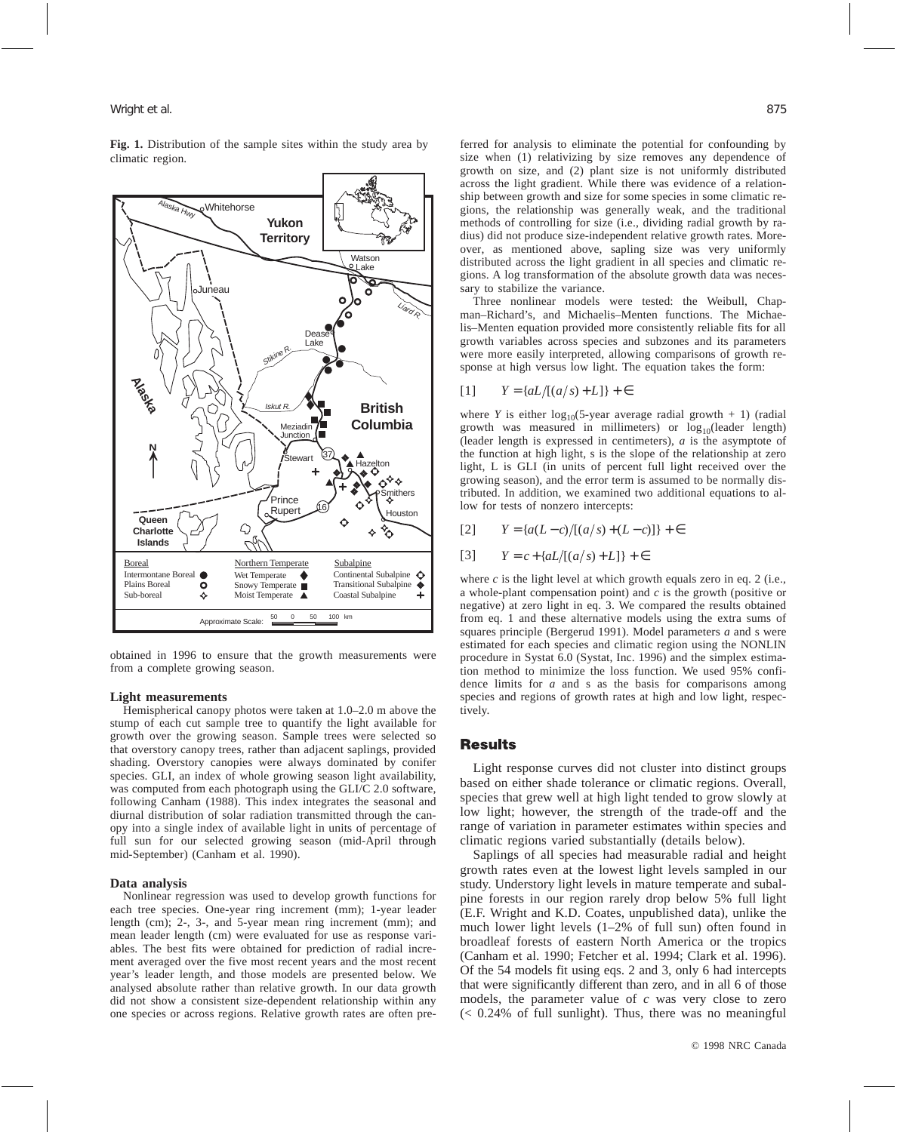**Fig. 1.** Distribution of the sample sites within the study area by climatic region.

Juneau

Alaska Hwy

Whitehorse

**Yukon Territory**

> Watson Lake



obtained in 1996 to ensure that the growth measurements were from a complete growing season.

#### **Light measurements**

Hemispherical canopy photos were taken at 1.0–2.0 m above the stump of each cut sample tree to quantify the light available for growth over the growing season. Sample trees were selected so that overstory canopy trees, rather than adjacent saplings, provided shading. Overstory canopies were always dominated by conifer species. GLI, an index of whole growing season light availability, was computed from each photograph using the GLI/C 2.0 software, following Canham (1988). This index integrates the seasonal and diurnal distribution of solar radiation transmitted through the canopy into a single index of available light in units of percentage of full sun for our selected growing season (mid-April through mid-September) (Canham et al. 1990).

#### **Data analysis**

Nonlinear regression was used to develop growth functions for each tree species. One-year ring increment (mm); 1-year leader length (cm); 2-, 3-, and 5-year mean ring increment (mm); and mean leader length (cm) were evaluated for use as response variables. The best fits were obtained for prediction of radial increment averaged over the five most recent years and the most recent year's leader length, and those models are presented below. We analysed absolute rather than relative growth. In our data growth did not show a consistent size-dependent relationship within any one species or across regions. Relative growth rates are often preferred for analysis to eliminate the potential for confounding by size when (1) relativizing by size removes any dependence of growth on size, and (2) plant size is not uniformly distributed across the light gradient. While there was evidence of a relationship between growth and size for some species in some climatic regions, the relationship was generally weak, and the traditional methods of controlling for size (i.e., dividing radial growth by radius) did not produce size-independent relative growth rates. Moreover, as mentioned above, sapling size was very uniformly distributed across the light gradient in all species and climatic regions. A log transformation of the absolute growth data was necessary to stabilize the variance.

Three nonlinear models were tested: the Weibull, Chapman–Richard's, and Michaelis–Menten functions. The Michaelis–Menten equation provided more consistently reliable fits for all growth variables across species and subzones and its parameters were more easily interpreted, allowing comparisons of growth response at high versus low light. The equation takes the form:

[1] 
$$
Y = \{aL/[(a/s) + L]\} + \epsilon
$$

where *Y* is either  $\log_{10}(5\text{-year}$  average radial growth + 1) (radial growth was measured in millimeters) or  $log_{10}$ (leader length) (leader length is expressed in centimeters), *a* is the asymptote of the function at high light, s is the slope of the relationship at zero light, L is GLI (in units of percent full light received over the growing season), and the error term is assumed to be normally distributed. In addition, we examined two additional equations to allow for tests of nonzero intercepts:

$$
[2] \qquad Y = \{a(L-c)/[(a/s)+(L-c)]\} + \in
$$

[3] 
$$
Y = c + \{aL/[(a/s) + L]\} + \epsilon
$$

where  $c$  is the light level at which growth equals zero in eq. 2 (i.e., a whole-plant compensation point) and *c* is the growth (positive or negative) at zero light in eq. 3. We compared the results obtained from eq. 1 and these alternative models using the extra sums of squares principle (Bergerud 1991). Model parameters *a* and s were estimated for each species and climatic region using the NONLIN procedure in Systat 6.0 (Systat, Inc. 1996) and the simplex estimation method to minimize the loss function. We used 95% confidence limits for *a* and s as the basis for comparisons among species and regions of growth rates at high and low light, respectively.

## **Results**

Light response curves did not cluster into distinct groups based on either shade tolerance or climatic regions. Overall, species that grew well at high light tended to grow slowly at low light; however, the strength of the trade-off and the range of variation in parameter estimates within species and climatic regions varied substantially (details below).

Saplings of all species had measurable radial and height growth rates even at the lowest light levels sampled in our study. Understory light levels in mature temperate and subalpine forests in our region rarely drop below 5% full light (E.F. Wright and K.D. Coates, unpublished data), unlike the much lower light levels (1–2% of full sun) often found in broadleaf forests of eastern North America or the tropics (Canham et al. 1990; Fetcher et al. 1994; Clark et al. 1996). Of the 54 models fit using eqs. 2 and 3, only 6 had intercepts that were significantly different than zero, and in all 6 of those models, the parameter value of *c* was very close to zero  $\approx 0.24\%$  of full sunlight). Thus, there was no meaningful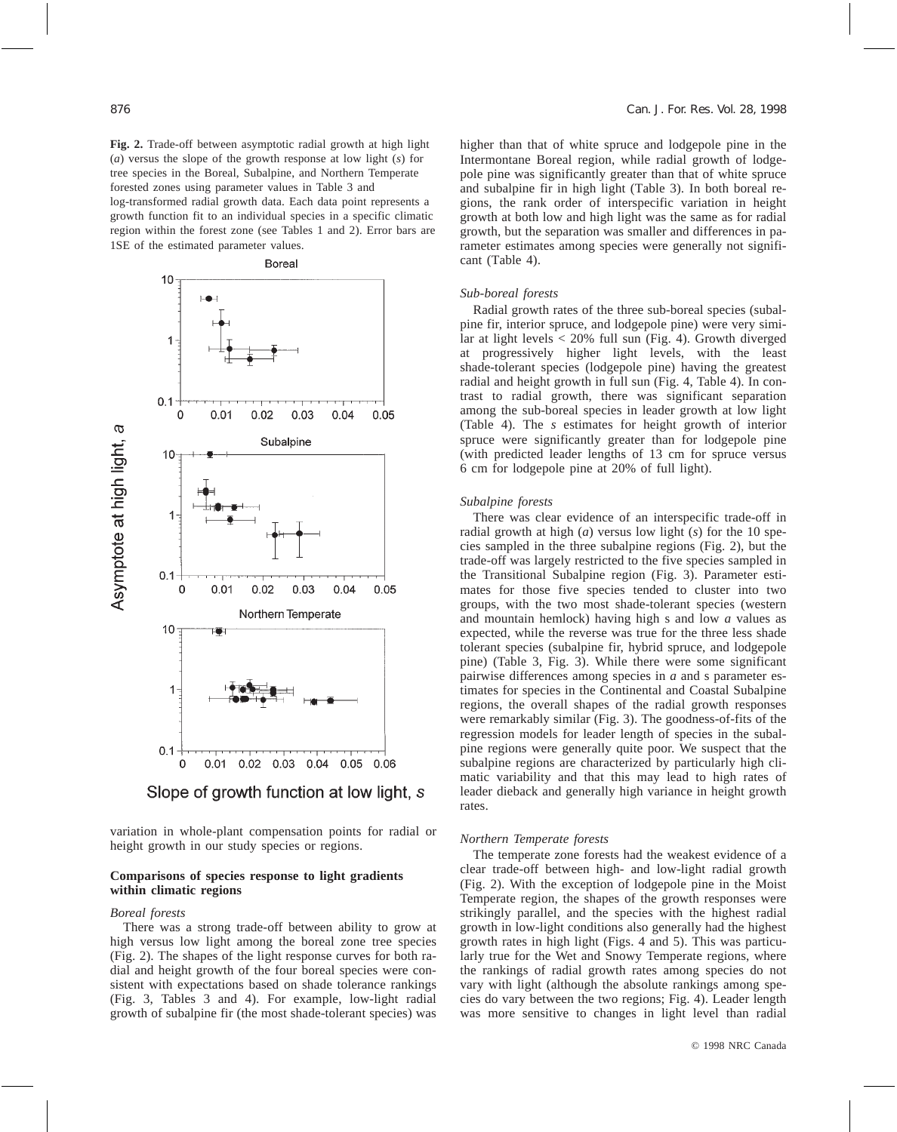**Fig. 2.** Trade-off between asymptotic radial growth at high light (*a*) versus the slope of the growth response at low light (*s*) for tree species in the Boreal, Subalpine, and Northern Temperate forested zones using parameter values in Table 3 and log-transformed radial growth data. Each data point represents a growth function fit to an individual species in a specific climatic region within the forest zone (see Tables 1 and 2). Error bars are 1SE of the estimated parameter values.



Slope of growth function at low light, s

variation in whole-plant compensation points for radial or height growth in our study species or regions.

## **Comparisons of species response to light gradients within climatic regions**

#### *Boreal forests*

There was a strong trade-off between ability to grow at high versus low light among the boreal zone tree species (Fig. 2). The shapes of the light response curves for both radial and height growth of the four boreal species were consistent with expectations based on shade tolerance rankings (Fig. 3, Tables 3 and 4). For example, low-light radial growth of subalpine fir (the most shade-tolerant species) was higher than that of white spruce and lodgepole pine in the Intermontane Boreal region, while radial growth of lodgepole pine was significantly greater than that of white spruce and subalpine fir in high light (Table 3). In both boreal regions, the rank order of interspecific variation in height growth at both low and high light was the same as for radial growth, but the separation was smaller and differences in parameter estimates among species were generally not significant (Table 4).

## *Sub-boreal forests*

Radial growth rates of the three sub-boreal species (subalpine fir, interior spruce, and lodgepole pine) were very similar at light levels < 20% full sun (Fig. 4). Growth diverged at progressively higher light levels, with the least shade-tolerant species (lodgepole pine) having the greatest radial and height growth in full sun (Fig. 4, Table 4). In contrast to radial growth, there was significant separation among the sub-boreal species in leader growth at low light (Table 4). The *s* estimates for height growth of interior spruce were significantly greater than for lodgepole pine (with predicted leader lengths of 13 cm for spruce versus 6 cm for lodgepole pine at 20% of full light).

## *Subalpine forests*

There was clear evidence of an interspecific trade-off in radial growth at high (*a*) versus low light (*s*) for the 10 species sampled in the three subalpine regions (Fig. 2), but the trade-off was largely restricted to the five species sampled in the Transitional Subalpine region (Fig. 3). Parameter estimates for those five species tended to cluster into two groups, with the two most shade-tolerant species (western and mountain hemlock) having high s and low *a* values as expected, while the reverse was true for the three less shade tolerant species (subalpine fir, hybrid spruce, and lodgepole pine) (Table 3, Fig. 3). While there were some significant pairwise differences among species in *a* and s parameter estimates for species in the Continental and Coastal Subalpine regions, the overall shapes of the radial growth responses were remarkably similar (Fig. 3). The goodness-of-fits of the regression models for leader length of species in the subalpine regions were generally quite poor. We suspect that the subalpine regions are characterized by particularly high climatic variability and that this may lead to high rates of leader dieback and generally high variance in height growth rates.

### *Northern Temperate forests*

The temperate zone forests had the weakest evidence of a clear trade-off between high- and low-light radial growth (Fig. 2). With the exception of lodgepole pine in the Moist Temperate region, the shapes of the growth responses were strikingly parallel, and the species with the highest radial growth in low-light conditions also generally had the highest growth rates in high light (Figs. 4 and 5). This was particularly true for the Wet and Snowy Temperate regions, where the rankings of radial growth rates among species do not vary with light (although the absolute rankings among species do vary between the two regions; Fig. 4). Leader length was more sensitive to changes in light level than radial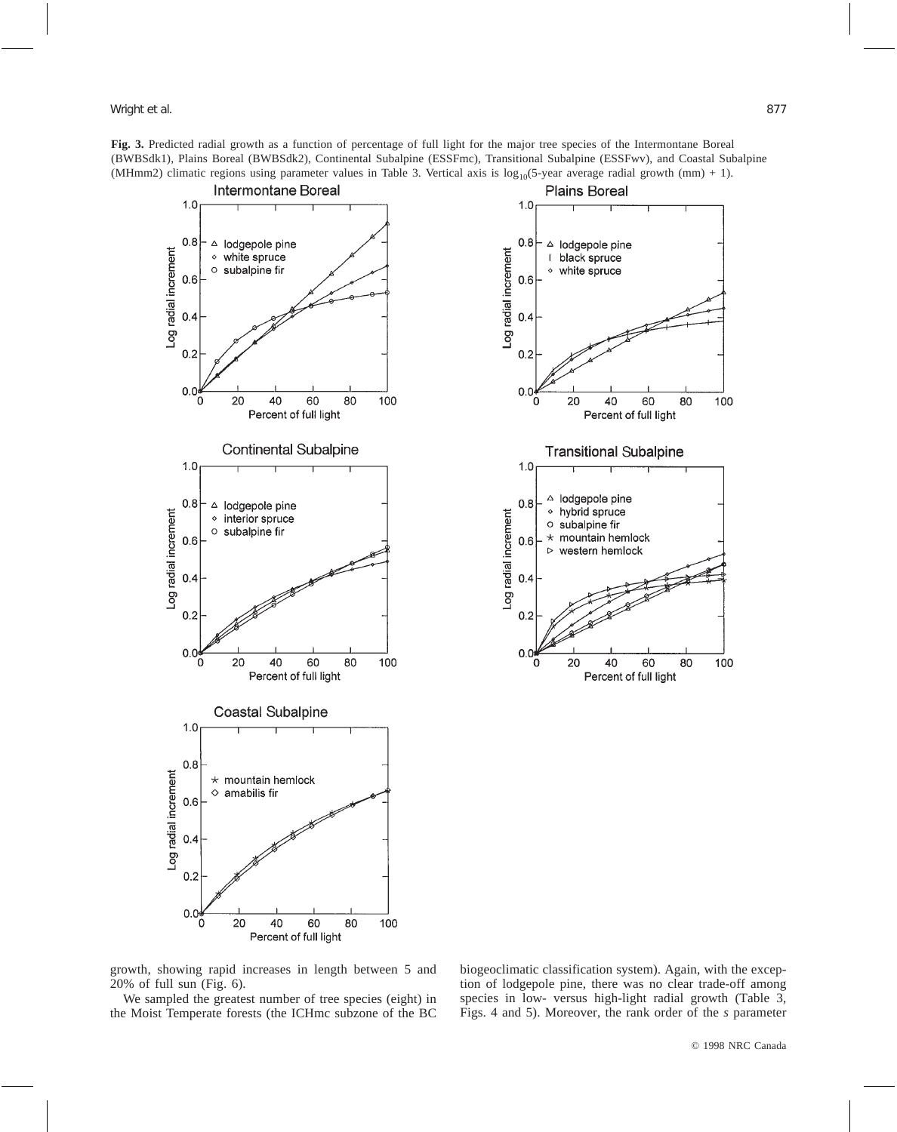**Fig. 3.** Predicted radial growth as a function of percentage of full light for the major tree species of the Intermontane Boreal (BWBSdk1), Plains Boreal (BWBSdk2), Continental Subalpine (ESSFmc), Transitional Subalpine (ESSFwv), and Coastal Subalpine (MHmm2) climatic regions using parameter values in Table 3. Vertical axis is  $\log_{10}(5\text{-year}$  average radial growth (mm) + 1).





growth, showing rapid increases in length between 5 and 20% of full sun (Fig. 6).

We sampled the greatest number of tree species (eight) in the Moist Temperate forests (the ICHmc subzone of the BC

biogeoclimatic classification system). Again, with the exception of lodgepole pine, there was no clear trade-off among species in low- versus high-light radial growth (Table 3, Figs. 4 and 5). Moreover, the rank order of the *s* parameter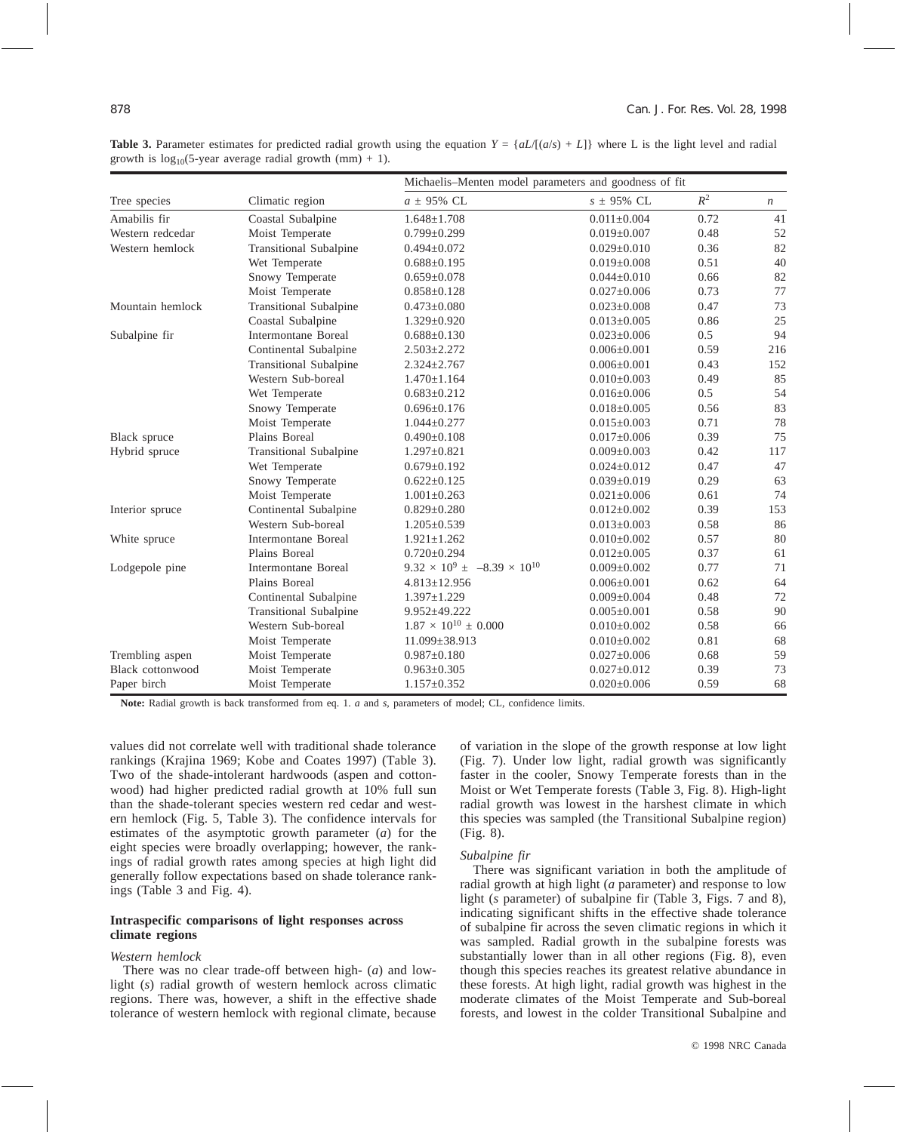|                  |                               | Michaelis-Menten model parameters and goodness of fit |                         |                |                  |  |  |
|------------------|-------------------------------|-------------------------------------------------------|-------------------------|----------------|------------------|--|--|
| Tree species     | Climatic region               | $a \pm 95\% \text{ CL}$                               | $s \pm 95\% \text{ CL}$ | $\mathbb{R}^2$ | $\boldsymbol{n}$ |  |  |
| Amabilis fir     | Coastal Subalpine             | $1.648 \pm 1.708$                                     | $0.011 \pm 0.004$       | 0.72           | 41               |  |  |
| Western redcedar | Moist Temperate               | $0.799 \pm 0.299$                                     | $0.019 \pm 0.007$       | 0.48           | 52               |  |  |
| Western hemlock  | <b>Transitional Subalpine</b> | $0.494 \pm 0.072$                                     | $0.029 \pm 0.010$       | 0.36           | 82               |  |  |
|                  | Wet Temperate                 | $0.688 \pm 0.195$                                     | $0.019 \pm 0.008$       | 0.51           | 40               |  |  |
|                  | Snowy Temperate               | $0.659 \pm 0.078$                                     | $0.044 \pm 0.010$       | 0.66           | 82               |  |  |
|                  | Moist Temperate               | $0.858 \pm 0.128$                                     | $0.027 \pm 0.006$       | 0.73           | 77               |  |  |
| Mountain hemlock | <b>Transitional Subalpine</b> | $0.473 \pm 0.080$                                     | $0.023 \pm 0.008$       | 0.47           | 73               |  |  |
|                  | Coastal Subalpine             | $1.329 \pm 0.920$                                     | $0.013 \pm 0.005$       | 0.86           | 25               |  |  |
| Subalpine fir    | Intermontane Boreal           | $0.688 \pm 0.130$                                     | $0.023 \pm 0.006$       | 0.5            | 94               |  |  |
|                  | Continental Subalpine         | $2.503 \pm 2.272$                                     | $0.006 \pm 0.001$       | 0.59           | 216              |  |  |
|                  | <b>Transitional Subalpine</b> | $2.324 \pm 2.767$                                     | $0.006 \pm 0.001$       | 0.43           | 152              |  |  |
|                  | Western Sub-boreal            | $1.470 \pm 1.164$                                     | $0.010 \pm 0.003$       | 0.49           | 85               |  |  |
|                  | Wet Temperate                 | $0.683 \pm 0.212$                                     | $0.016 \pm 0.006$       | 0.5            | 54               |  |  |
|                  | Snowy Temperate               | $0.696 \pm 0.176$                                     | $0.018 \pm 0.005$       | 0.56           | 83               |  |  |
|                  | Moist Temperate               | $1.044 \pm 0.277$                                     | $0.015 \pm 0.003$       | 0.71           | 78               |  |  |
| Black spruce     | Plains Boreal                 | $0.490 \pm 0.108$                                     | $0.017 \pm 0.006$       | 0.39           | 75               |  |  |
| Hybrid spruce    | <b>Transitional Subalpine</b> | $1.297 \pm 0.821$                                     | $0.009 \pm 0.003$       | 0.42           | 117              |  |  |
|                  | Wet Temperate                 | $0.679 \pm 0.192$                                     | $0.024 \pm 0.012$       | 0.47           | 47               |  |  |
|                  | Snowy Temperate               | $0.622 \pm 0.125$                                     | $0.039 \pm 0.019$       | 0.29           | 63               |  |  |
|                  | Moist Temperate               | $1.001 \pm 0.263$                                     | $0.021 \pm 0.006$       | 0.61           | 74               |  |  |
| Interior spruce  | Continental Subalpine         | $0.829 \pm 0.280$                                     | $0.012 \pm 0.002$       | 0.39           | 153              |  |  |
|                  | Western Sub-boreal            | $1.205 \pm 0.539$                                     | $0.013 \pm 0.003$       | 0.58           | 86               |  |  |
| White spruce     | Intermontane Boreal           | $1.921 \pm 1.262$                                     | $0.010\pm0.002$         | 0.57           | 80               |  |  |
|                  | Plains Boreal                 | $0.720 \pm 0.294$                                     | $0.012 \pm 0.005$       | 0.37           | 61               |  |  |
| Lodgepole pine   | Intermontane Boreal           | $9.32 \times 10^9 \pm -8.39 \times 10^{10}$           | $0.009 \pm 0.002$       | 0.77           | 71               |  |  |
|                  | Plains Boreal                 | $4.813 \pm 12.956$                                    | $0.006 \pm 0.001$       | 0.62           | 64               |  |  |
|                  | Continental Subalpine         | $1.397 \pm 1.229$                                     | $0.009 \pm 0.004$       | 0.48           | 72               |  |  |
|                  | <b>Transitional Subalpine</b> | $9.952 + 49.222$                                      | $0.005 \pm 0.001$       | 0.58           | 90               |  |  |
|                  | Western Sub-boreal            | $1.87 \times 10^{10} \pm 0.000$                       | $0.010\pm0.002$         | 0.58           | 66               |  |  |
|                  | Moist Temperate               | 11.099±38.913                                         | $0.010\pm0.002$         | 0.81           | 68               |  |  |
| Trembling aspen  | Moist Temperate               | $0.987 \pm 0.180$                                     | $0.027 \pm 0.006$       | 0.68           | 59               |  |  |
| Black cottonwood | Moist Temperate               | $0.963 \pm 0.305$                                     | $0.027 \pm 0.012$       | 0.39           | 73               |  |  |
| Paper birch      | Moist Temperate               | $1.157 \pm 0.352$                                     | $0.020 \pm 0.006$       | 0.59           | 68               |  |  |

**Table 3.** Parameter estimates for predicted radial growth using the equation  $Y = \{aL/[(a/s) + L]\}$  where L is the light level and radial growth is  $\log_{10}(5\text{-year}$  average radial growth (mm) + 1).

**Note:** Radial growth is back transformed from eq. 1. *a* and *s*, parameters of model; CL, confidence limits.

values did not correlate well with traditional shade tolerance rankings (Krajina 1969; Kobe and Coates 1997) (Table 3). Two of the shade-intolerant hardwoods (aspen and cottonwood) had higher predicted radial growth at 10% full sun than the shade-tolerant species western red cedar and western hemlock (Fig. 5, Table 3). The confidence intervals for estimates of the asymptotic growth parameter (*a*) for the eight species were broadly overlapping; however, the rankings of radial growth rates among species at high light did generally follow expectations based on shade tolerance rankings (Table 3 and Fig. 4).

# **Intraspecific comparisons of light responses across climate regions**

## *Western hemlock*

There was no clear trade-off between high- (*a*) and lowlight (*s*) radial growth of western hemlock across climatic regions. There was, however, a shift in the effective shade tolerance of western hemlock with regional climate, because of variation in the slope of the growth response at low light (Fig. 7). Under low light, radial growth was significantly faster in the cooler, Snowy Temperate forests than in the Moist or Wet Temperate forests (Table 3, Fig. 8). High-light radial growth was lowest in the harshest climate in which this species was sampled (the Transitional Subalpine region) (Fig. 8).

## *Subalpine fir*

There was significant variation in both the amplitude of radial growth at high light (*a* parameter) and response to low light (*s* parameter) of subalpine fir (Table 3, Figs. 7 and 8), indicating significant shifts in the effective shade tolerance of subalpine fir across the seven climatic regions in which it was sampled. Radial growth in the subalpine forests was substantially lower than in all other regions (Fig. 8), even though this species reaches its greatest relative abundance in these forests. At high light, radial growth was highest in the moderate climates of the Moist Temperate and Sub-boreal forests, and lowest in the colder Transitional Subalpine and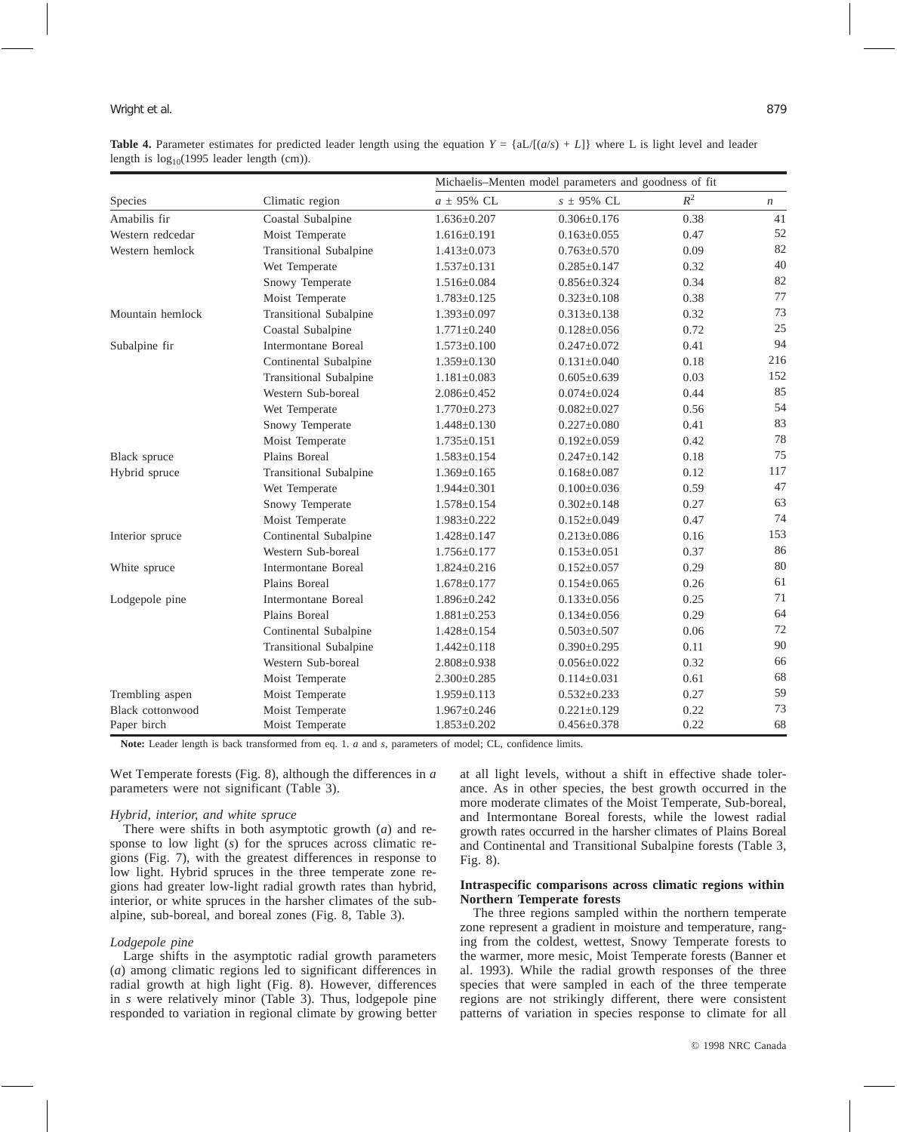|                         |                               | Michaelis-Menten model parameters and goodness of fit |                   |       |                  |  |
|-------------------------|-------------------------------|-------------------------------------------------------|-------------------|-------|------------------|--|
| Species                 | Climatic region               | $a \pm 95\%$ CL                                       | $s\,\pm\,95\%$ CL | $R^2$ | $\boldsymbol{n}$ |  |
| Amabilis fir            | Coastal Subalpine             | $1.636 \pm 0.207$                                     | $0.306 \pm 0.176$ | 0.38  | 41               |  |
| Western redcedar        | Moist Temperate               | $1.616 \pm 0.191$                                     | $0.163 \pm 0.055$ | 0.47  | 52               |  |
| Western hemlock         | <b>Transitional Subalpine</b> | $1.413 \pm 0.073$                                     | $0.763 \pm 0.570$ | 0.09  | 82               |  |
|                         | Wet Temperate                 | $1.537 \pm 0.131$                                     | $0.285 \pm 0.147$ | 0.32  | 40               |  |
|                         | Snowy Temperate               | $1.516 \pm 0.084$                                     | $0.856 \pm 0.324$ | 0.34  | 82               |  |
|                         | Moist Temperate               | $1.783 \pm 0.125$                                     | $0.323 \pm 0.108$ | 0.38  | 77               |  |
| Mountain hemlock        | <b>Transitional Subalpine</b> | $1.393 \pm 0.097$                                     | $0.313 \pm 0.138$ | 0.32  | 73               |  |
|                         | Coastal Subalpine             | $1.771 \pm 0.240$                                     | $0.128 \pm 0.056$ | 0.72  | 25               |  |
| Subalpine fir           | <b>Intermontane Boreal</b>    | $1.573 \pm 0.100$                                     | $0.247 \pm 0.072$ | 0.41  | 94               |  |
|                         | Continental Subalpine         | $1.359 \pm 0.130$                                     | $0.131 \pm 0.040$ | 0.18  | 216              |  |
|                         | <b>Transitional Subalpine</b> | $1.181 \pm 0.083$                                     | $0.605 \pm 0.639$ | 0.03  | 152              |  |
|                         | Western Sub-boreal            | $2.086 \pm 0.452$                                     | $0.074 \pm 0.024$ | 0.44  | 85               |  |
|                         | Wet Temperate                 | $1.770 \pm 0.273$                                     | $0.082 \pm 0.027$ | 0.56  | 54               |  |
|                         | Snowy Temperate               | $1.448 \pm 0.130$                                     | $0.227 \pm 0.080$ | 0.41  | 83               |  |
|                         | Moist Temperate               | $1.735 \pm 0.151$                                     | $0.192 \pm 0.059$ | 0.42  | 78               |  |
| Black spruce            | Plains Boreal                 | $1.583 \pm 0.154$                                     | $0.247 \pm 0.142$ | 0.18  | 75               |  |
| Hybrid spruce           | <b>Transitional Subalpine</b> | $1.369 \pm 0.165$                                     | $0.168 \pm 0.087$ | 0.12  | 117              |  |
|                         | Wet Temperate                 | $1.944 \pm 0.301$                                     | $0.100 \pm 0.036$ | 0.59  | 47               |  |
|                         | Snowy Temperate               | $1.578 \pm 0.154$                                     | $0.302 \pm 0.148$ | 0.27  | 63               |  |
|                         | Moist Temperate               | $1.983 \pm 0.222$                                     | $0.152 \pm 0.049$ | 0.47  | 74               |  |
| Interior spruce         | Continental Subalpine         | $1.428 \pm 0.147$                                     | $0.213 \pm 0.086$ | 0.16  | 153              |  |
|                         | Western Sub-boreal            | $1.756 \pm 0.177$                                     | $0.153 \pm 0.051$ | 0.37  | 86               |  |
| White spruce            | Intermontane Boreal           | $1.824 \pm 0.216$                                     | $0.152 \pm 0.057$ | 0.29  | 80               |  |
|                         | Plains Boreal                 | $1.678 \pm 0.177$                                     | $0.154 \pm 0.065$ | 0.26  | 61               |  |
| Lodgepole pine          | <b>Intermontane Boreal</b>    | $1.896 \pm 0.242$                                     | $0.133 \pm 0.056$ | 0.25  | 71               |  |
|                         | Plains Boreal                 | $1.881 \pm 0.253$                                     | $0.134 \pm 0.056$ | 0.29  | 64               |  |
|                         | Continental Subalpine         | $1.428 \pm 0.154$                                     | $0.503 \pm 0.507$ | 0.06  | 72               |  |
|                         | <b>Transitional Subalpine</b> | $1.442 \pm 0.118$                                     | $0.390 \pm 0.295$ | 0.11  | 90               |  |
|                         | Western Sub-boreal            | $2.808 \pm 0.938$                                     | $0.056 \pm 0.022$ | 0.32  | 66               |  |
|                         | Moist Temperate               | $2.300 \pm 0.285$                                     | $0.114 \pm 0.031$ | 0.61  | 68               |  |
| Trembling aspen         | Moist Temperate               | $1.959 \pm 0.113$                                     | $0.532 \pm 0.233$ | 0.27  | 59               |  |
| <b>Black</b> cottonwood | Moist Temperate               | $1.967 \pm 0.246$                                     | $0.221 \pm 0.129$ | 0.22  | 73               |  |
| Paper birch             | Moist Temperate               | $1.853 \pm 0.202$                                     | $0.456 \pm 0.378$ | 0.22  | 68               |  |

**Table 4.** Parameter estimates for predicted leader length using the equation  $Y = \{aL/[(a/s) + L]\}$  where L is light level and leader length is  $log_{10}(1995$  leader length (cm)).

**Note:** Leader length is back transformed from eq. 1. *a* and *s*, parameters of model; CL, confidence limits.

Wet Temperate forests (Fig. 8), although the differences in *a* parameters were not significant (Table 3).

#### *Hybrid, interior, and white spruce*

There were shifts in both asymptotic growth (*a*) and response to low light (*s*) for the spruces across climatic regions (Fig. 7), with the greatest differences in response to low light. Hybrid spruces in the three temperate zone regions had greater low-light radial growth rates than hybrid, interior, or white spruces in the harsher climates of the subalpine, sub-boreal, and boreal zones (Fig. 8, Table 3).

#### *Lodgepole pine*

Large shifts in the asymptotic radial growth parameters (*a*) among climatic regions led to significant differences in radial growth at high light (Fig. 8). However, differences in *s* were relatively minor (Table 3). Thus, lodgepole pine responded to variation in regional climate by growing better at all light levels, without a shift in effective shade tolerance. As in other species, the best growth occurred in the more moderate climates of the Moist Temperate, Sub-boreal, and Intermontane Boreal forests, while the lowest radial growth rates occurred in the harsher climates of Plains Boreal and Continental and Transitional Subalpine forests (Table 3, Fig. 8).

## **Intraspecific comparisons across climatic regions within Northern Temperate forests**

The three regions sampled within the northern temperate zone represent a gradient in moisture and temperature, ranging from the coldest, wettest, Snowy Temperate forests to the warmer, more mesic, Moist Temperate forests (Banner et al. 1993). While the radial growth responses of the three species that were sampled in each of the three temperate regions are not strikingly different, there were consistent patterns of variation in species response to climate for all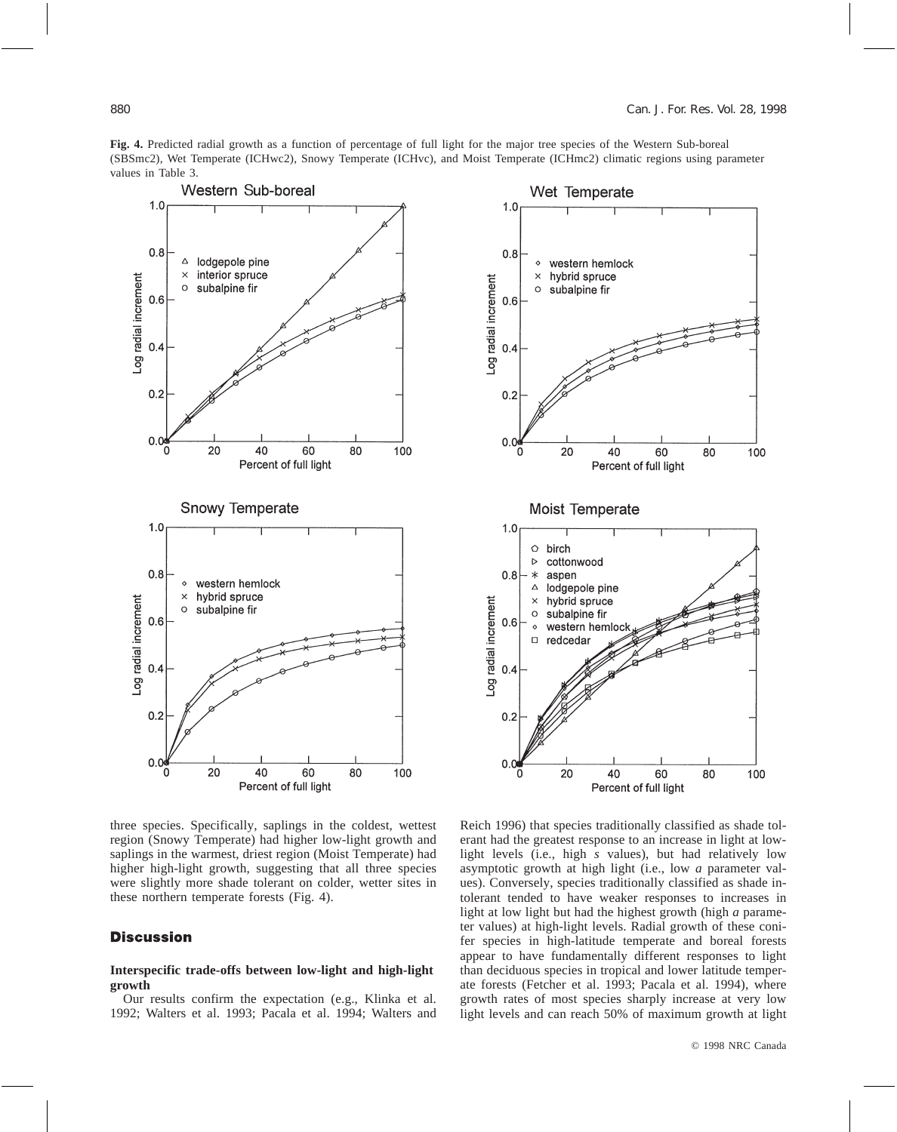**Fig. 4.** Predicted radial growth as a function of percentage of full light for the major tree species of the Western Sub-boreal (SBSmc2), Wet Temperate (ICHwc2), Snowy Temperate (ICHvc), and Moist Temperate (ICHmc2) climatic regions using parameter values in Table 3.





three species. Specifically, saplings in the coldest, wettest region (Snowy Temperate) had higher low-light growth and saplings in the warmest, driest region (Moist Temperate) had higher high-light growth, suggesting that all three species were slightly more shade tolerant on colder, wetter sites in these northern temperate forests (Fig. 4).

# **Discussion**

## **Interspecific trade-offs between low-light and high-light growth**

Our results confirm the expectation (e.g., Klinka et al. 1992; Walters et al. 1993; Pacala et al. 1994; Walters and

Reich 1996) that species traditionally classified as shade tolerant had the greatest response to an increase in light at lowlight levels (i.e., high *s* values), but had relatively low asymptotic growth at high light (i.e., low *a* parameter values). Conversely, species traditionally classified as shade intolerant tended to have weaker responses to increases in light at low light but had the highest growth (high *a* parameter values) at high-light levels. Radial growth of these conifer species in high-latitude temperate and boreal forests appear to have fundamentally different responses to light than deciduous species in tropical and lower latitude temperate forests (Fetcher et al. 1993; Pacala et al. 1994), where growth rates of most species sharply increase at very low light levels and can reach 50% of maximum growth at light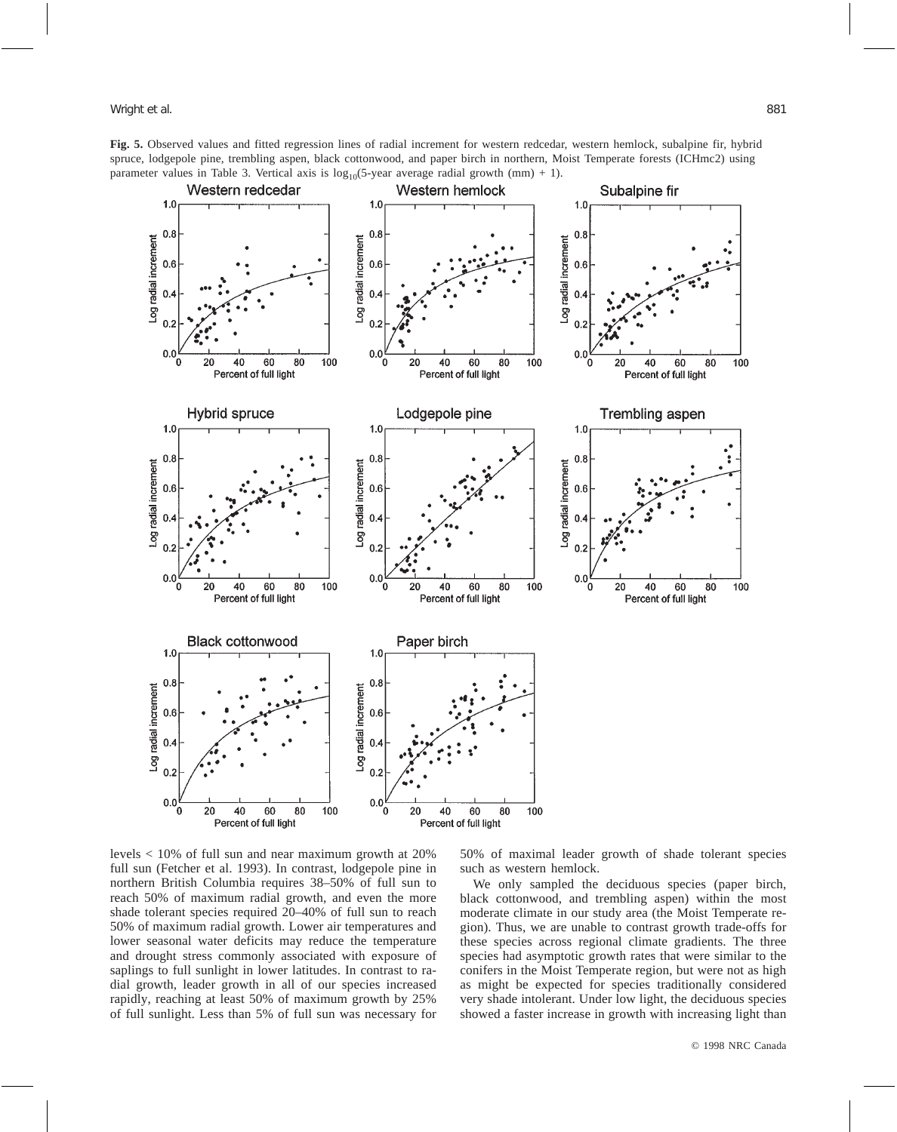**Fig. 5.** Observed values and fitted regression lines of radial increment for western redcedar, western hemlock, subalpine fir, hybrid spruce, lodgepole pine, trembling aspen, black cottonwood, and paper birch in northern, Moist Temperate forests (ICHmc2) using parameter values in Table 3. Vertical axis is  $log_{10}(5$ -year average radial growth (mm) + 1).



levels < 10% of full sun and near maximum growth at 20% full sun (Fetcher et al. 1993). In contrast, lodgepole pine in northern British Columbia requires 38–50% of full sun to reach 50% of maximum radial growth, and even the more shade tolerant species required 20–40% of full sun to reach 50% of maximum radial growth. Lower air temperatures and lower seasonal water deficits may reduce the temperature and drought stress commonly associated with exposure of saplings to full sunlight in lower latitudes. In contrast to radial growth, leader growth in all of our species increased rapidly, reaching at least 50% of maximum growth by 25% of full sunlight. Less than 5% of full sun was necessary for 50% of maximal leader growth of shade tolerant species such as western hemlock.

We only sampled the deciduous species (paper birch, black cottonwood, and trembling aspen) within the most moderate climate in our study area (the Moist Temperate region). Thus, we are unable to contrast growth trade-offs for these species across regional climate gradients. The three species had asymptotic growth rates that were similar to the conifers in the Moist Temperate region, but were not as high as might be expected for species traditionally considered very shade intolerant. Under low light, the deciduous species showed a faster increase in growth with increasing light than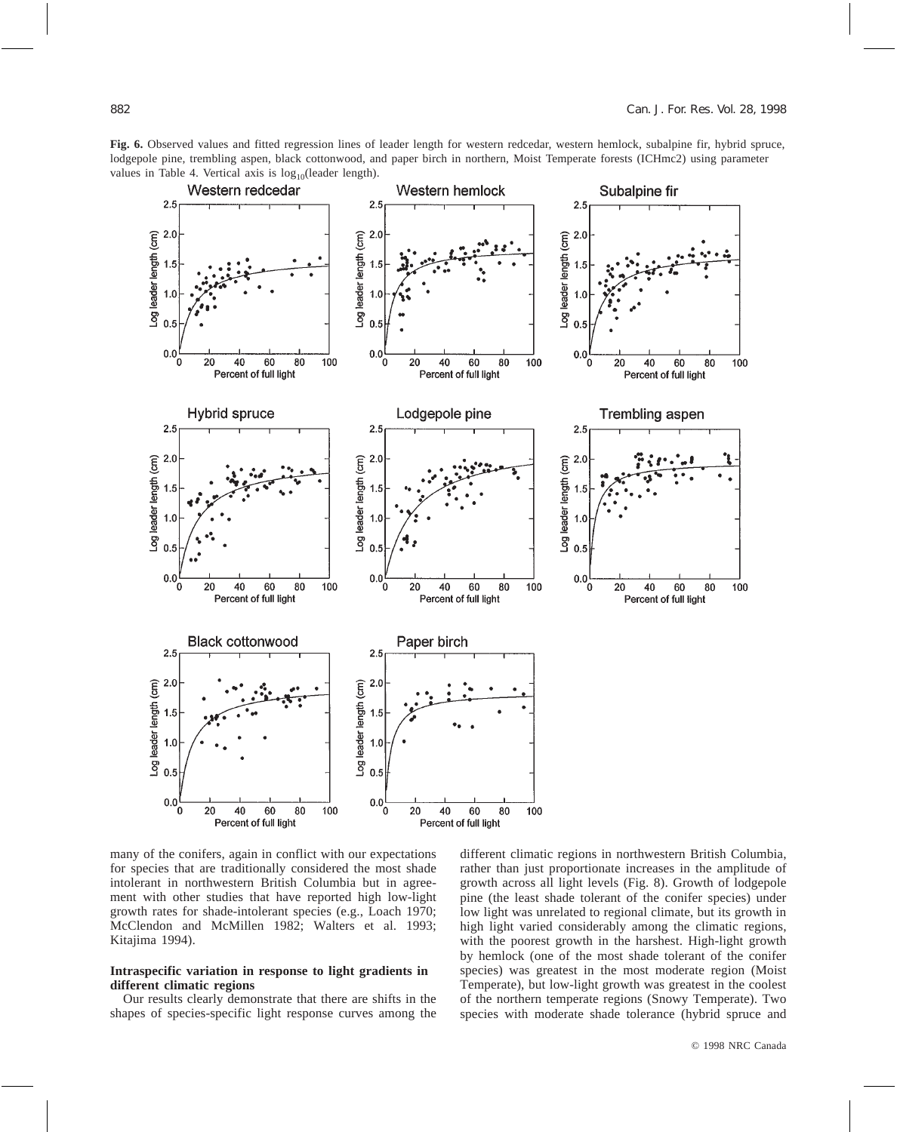**Fig. 6.** Observed values and fitted regression lines of leader length for western redcedar, western hemlock, subalpine fir, hybrid spruce, lodgepole pine, trembling aspen, black cottonwood, and paper birch in northern, Moist Temperate forests (ICHmc2) using parameter values in Table 4. Vertical axis is  $log_{10}(leader length)$ .



many of the conifers, again in conflict with our expectations for species that are traditionally considered the most shade intolerant in northwestern British Columbia but in agreement with other studies that have reported high low-light growth rates for shade-intolerant species (e.g., Loach 1970; McClendon and McMillen 1982; Walters et al. 1993; Kitajima 1994).

## **Intraspecific variation in response to light gradients in different climatic regions**

Our results clearly demonstrate that there are shifts in the shapes of species-specific light response curves among the different climatic regions in northwestern British Columbia, rather than just proportionate increases in the amplitude of growth across all light levels (Fig. 8). Growth of lodgepole pine (the least shade tolerant of the conifer species) under low light was unrelated to regional climate, but its growth in high light varied considerably among the climatic regions, with the poorest growth in the harshest. High-light growth by hemlock (one of the most shade tolerant of the conifer species) was greatest in the most moderate region (Moist Temperate), but low-light growth was greatest in the coolest of the northern temperate regions (Snowy Temperate). Two species with moderate shade tolerance (hybrid spruce and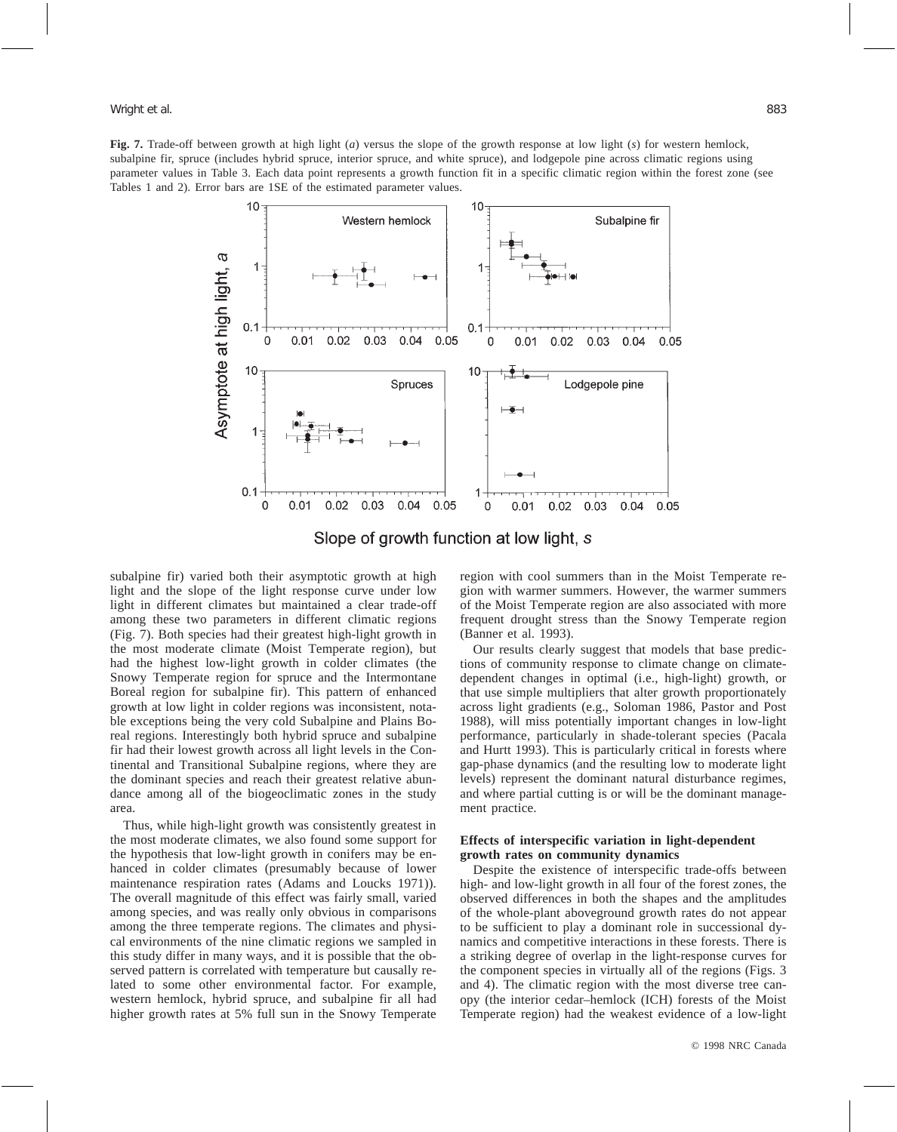**Fig. 7.** Trade-off between growth at high light (*a*) versus the slope of the growth response at low light (*s*) for western hemlock, subalpine fir, spruce (includes hybrid spruce, interior spruce, and white spruce), and lodgepole pine across climatic regions using parameter values in Table 3. Each data point represents a growth function fit in a specific climatic region within the forest zone (see Tables 1 and 2). Error bars are 1SE of the estimated parameter values.



Slope of growth function at low light,  $\bm{s}$ 

subalpine fir) varied both their asymptotic growth at high light and the slope of the light response curve under low light in different climates but maintained a clear trade-off among these two parameters in different climatic regions (Fig. 7). Both species had their greatest high-light growth in the most moderate climate (Moist Temperate region), but had the highest low-light growth in colder climates (the Snowy Temperate region for spruce and the Intermontane Boreal region for subalpine fir). This pattern of enhanced growth at low light in colder regions was inconsistent, notable exceptions being the very cold Subalpine and Plains Boreal regions. Interestingly both hybrid spruce and subalpine fir had their lowest growth across all light levels in the Continental and Transitional Subalpine regions, where they are the dominant species and reach their greatest relative abundance among all of the biogeoclimatic zones in the study area.

Thus, while high-light growth was consistently greatest in the most moderate climates, we also found some support for the hypothesis that low-light growth in conifers may be enhanced in colder climates (presumably because of lower maintenance respiration rates (Adams and Loucks 1971)). The overall magnitude of this effect was fairly small, varied among species, and was really only obvious in comparisons among the three temperate regions. The climates and physical environments of the nine climatic regions we sampled in this study differ in many ways, and it is possible that the observed pattern is correlated with temperature but causally related to some other environmental factor. For example, western hemlock, hybrid spruce, and subalpine fir all had higher growth rates at 5% full sun in the Snowy Temperate region with cool summers than in the Moist Temperate region with warmer summers. However, the warmer summers of the Moist Temperate region are also associated with more frequent drought stress than the Snowy Temperate region (Banner et al. 1993).

Our results clearly suggest that models that base predictions of community response to climate change on climatedependent changes in optimal (i.e., high-light) growth, or that use simple multipliers that alter growth proportionately across light gradients (e.g., Soloman 1986, Pastor and Post 1988), will miss potentially important changes in low-light performance, particularly in shade-tolerant species (Pacala and Hurtt 1993). This is particularly critical in forests where gap-phase dynamics (and the resulting low to moderate light levels) represent the dominant natural disturbance regimes, and where partial cutting is or will be the dominant management practice.

## **Effects of interspecific variation in light-dependent growth rates on community dynamics**

Despite the existence of interspecific trade-offs between high- and low-light growth in all four of the forest zones, the observed differences in both the shapes and the amplitudes of the whole-plant aboveground growth rates do not appear to be sufficient to play a dominant role in successional dynamics and competitive interactions in these forests. There is a striking degree of overlap in the light-response curves for the component species in virtually all of the regions (Figs. 3 and 4). The climatic region with the most diverse tree canopy (the interior cedar–hemlock (ICH) forests of the Moist Temperate region) had the weakest evidence of a low-light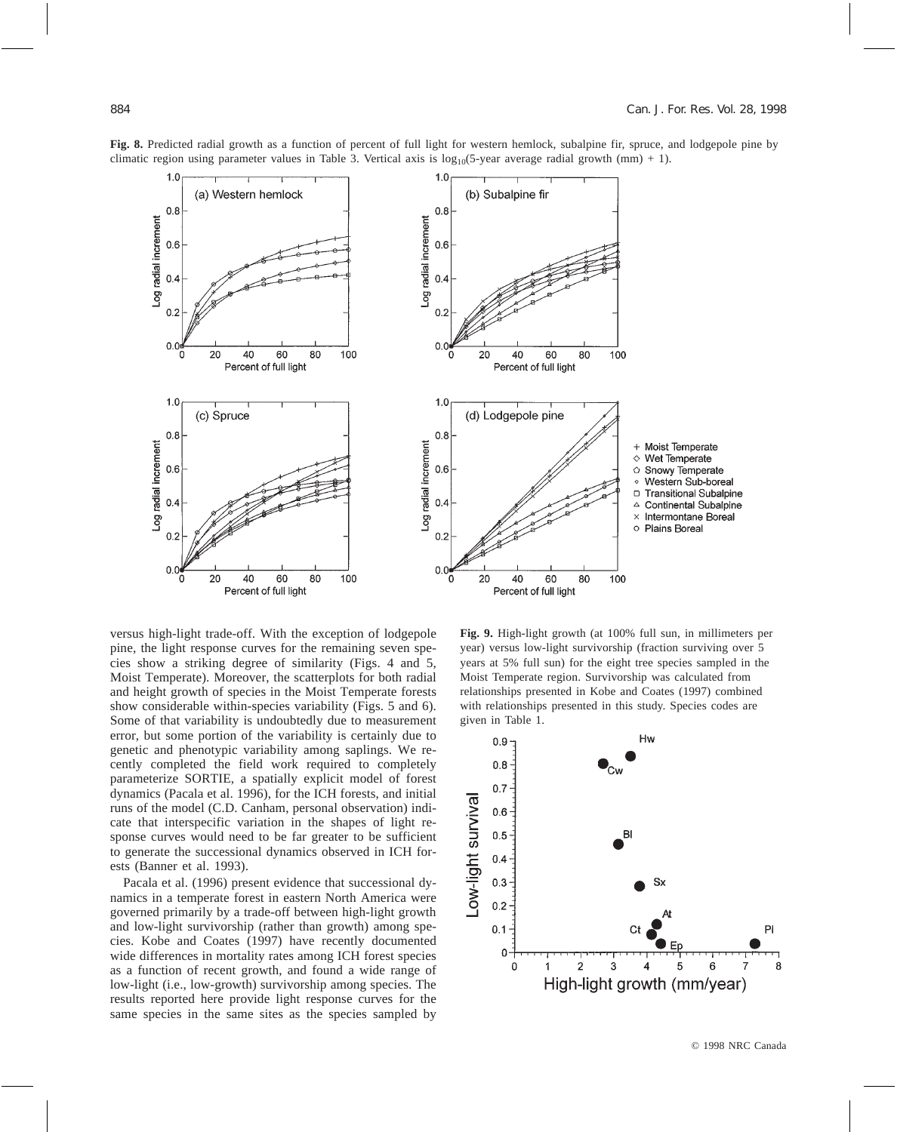

**Fig. 8.** Predicted radial growth as a function of percent of full light for western hemlock, subalpine fir, spruce, and lodgepole pine by climatic region using parameter values in Table 3. Vertical axis is  $\log_{10}(5\text{-year}$  average radial growth (mm) + 1).

versus high-light trade-off. With the exception of lodgepole pine, the light response curves for the remaining seven species show a striking degree of similarity (Figs. 4 and 5, Moist Temperate). Moreover, the scatterplots for both radial and height growth of species in the Moist Temperate forests show considerable within-species variability (Figs. 5 and 6). Some of that variability is undoubtedly due to measurement error, but some portion of the variability is certainly due to genetic and phenotypic variability among saplings. We recently completed the field work required to completely parameterize SORTIE, a spatially explicit model of forest dynamics (Pacala et al. 1996), for the ICH forests, and initial runs of the model (C.D. Canham, personal observation) indicate that interspecific variation in the shapes of light response curves would need to be far greater to be sufficient to generate the successional dynamics observed in ICH forests (Banner et al. 1993).

Pacala et al. (1996) present evidence that successional dynamics in a temperate forest in eastern North America were governed primarily by a trade-off between high-light growth and low-light survivorship (rather than growth) among species. Kobe and Coates (1997) have recently documented wide differences in mortality rates among ICH forest species as a function of recent growth, and found a wide range of low-light (i.e., low-growth) survivorship among species. The results reported here provide light response curves for the same species in the same sites as the species sampled by

**Fig. 9.** High-light growth (at 100% full sun, in millimeters per year) versus low-light survivorship (fraction surviving over 5 years at 5% full sun) for the eight tree species sampled in the Moist Temperate region. Survivorship was calculated from relationships presented in Kobe and Coates (1997) combined with relationships presented in this study. Species codes are given in Table 1.

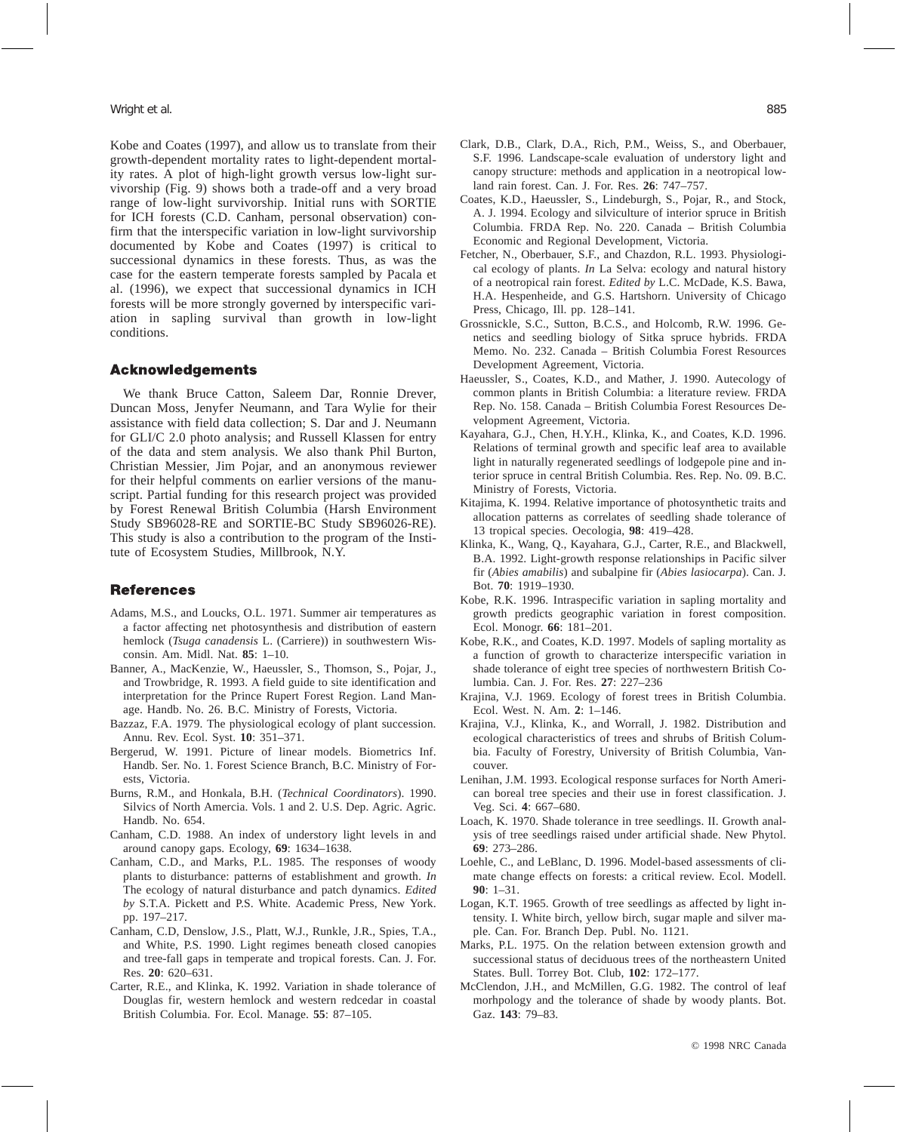Kobe and Coates (1997), and allow us to translate from their growth-dependent mortality rates to light-dependent mortality rates. A plot of high-light growth versus low-light survivorship (Fig. 9) shows both a trade-off and a very broad range of low-light survivorship. Initial runs with SORTIE for ICH forests (C.D. Canham, personal observation) confirm that the interspecific variation in low-light survivorship documented by Kobe and Coates (1997) is critical to successional dynamics in these forests. Thus, as was the case for the eastern temperate forests sampled by Pacala et al. (1996), we expect that successional dynamics in ICH forests will be more strongly governed by interspecific variation in sapling survival than growth in low-light conditions.

# **Acknowledgements**

We thank Bruce Catton, Saleem Dar, Ronnie Drever, Duncan Moss, Jenyfer Neumann, and Tara Wylie for their assistance with field data collection; S. Dar and J. Neumann for GLI/C 2.0 photo analysis; and Russell Klassen for entry of the data and stem analysis. We also thank Phil Burton, Christian Messier, Jim Pojar, and an anonymous reviewer for their helpful comments on earlier versions of the manuscript. Partial funding for this research project was provided by Forest Renewal British Columbia (Harsh Environment Study SB96028-RE and SORTIE-BC Study SB96026-RE). This study is also a contribution to the program of the Institute of Ecosystem Studies, Millbrook, N.Y.

## **References**

- Adams, M.S., and Loucks, O.L. 1971. Summer air temperatures as a factor affecting net photosynthesis and distribution of eastern hemlock (*Tsuga canadensis* L. (Carriere)) in southwestern Wisconsin. Am. Midl. Nat. **85**: 1–10.
- Banner, A., MacKenzie, W., Haeussler, S., Thomson, S., Pojar, J., and Trowbridge, R. 1993. A field guide to site identification and interpretation for the Prince Rupert Forest Region. Land Manage. Handb. No. 26. B.C. Ministry of Forests, Victoria.
- Bazzaz, F.A. 1979. The physiological ecology of plant succession. Annu. Rev. Ecol. Syst. **10**: 351–371.
- Bergerud, W. 1991. Picture of linear models. Biometrics Inf. Handb. Ser. No. 1. Forest Science Branch, B.C. Ministry of Forests, Victoria.
- Burns, R.M., and Honkala, B.H. (*Technical Coordinators*). 1990. Silvics of North Amercia. Vols. 1 and 2. U.S. Dep. Agric. Agric. Handb. No. 654.
- Canham, C.D. 1988. An index of understory light levels in and around canopy gaps. Ecology, **69**: 1634–1638.
- Canham, C.D., and Marks, P.L. 1985. The responses of woody plants to disturbance: patterns of establishment and growth. *In* The ecology of natural disturbance and patch dynamics. *Edited by* S.T.A. Pickett and P.S. White. Academic Press, New York. pp. 197–217.
- Canham, C.D, Denslow, J.S., Platt, W.J., Runkle, J.R., Spies, T.A., and White, P.S. 1990. Light regimes beneath closed canopies and tree-fall gaps in temperate and tropical forests. Can. J. For. Res. **20**: 620–631.
- Carter, R.E., and Klinka, K. 1992. Variation in shade tolerance of Douglas fir, western hemlock and western redcedar in coastal British Columbia. For. Ecol. Manage. **55**: 87–105.
- Clark, D.B., Clark, D.A., Rich, P.M., Weiss, S., and Oberbauer, S.F. 1996. Landscape-scale evaluation of understory light and canopy structure: methods and application in a neotropical lowland rain forest. Can. J. For. Res. **26**: 747–757.
- Coates, K.D., Haeussler, S., Lindeburgh, S., Pojar, R., and Stock, A. J. 1994. Ecology and silviculture of interior spruce in British Columbia. FRDA Rep. No. 220. Canada – British Columbia Economic and Regional Development, Victoria.
- Fetcher, N., Oberbauer, S.F., and Chazdon, R.L. 1993. Physiological ecology of plants. *In* La Selva: ecology and natural history of a neotropical rain forest. *Edited by* L.C. McDade, K.S. Bawa, H.A. Hespenheide, and G.S. Hartshorn. University of Chicago Press, Chicago, Ill. pp. 128–141.
- Grossnickle, S.C., Sutton, B.C.S., and Holcomb, R.W. 1996. Genetics and seedling biology of Sitka spruce hybrids. FRDA Memo. No. 232. Canada – British Columbia Forest Resources Development Agreement, Victoria.
- Haeussler, S., Coates, K.D., and Mather, J. 1990. Autecology of common plants in British Columbia: a literature review. FRDA Rep. No. 158. Canada – British Columbia Forest Resources Development Agreement, Victoria.
- Kayahara, G.J., Chen, H.Y.H., Klinka, K., and Coates, K.D. 1996. Relations of terminal growth and specific leaf area to available light in naturally regenerated seedlings of lodgepole pine and interior spruce in central British Columbia. Res. Rep. No. 09. B.C. Ministry of Forests, Victoria.
- Kitajima, K. 1994. Relative importance of photosynthetic traits and allocation patterns as correlates of seedling shade tolerance of 13 tropical species. Oecologia, **98**: 419–428.
- Klinka, K., Wang, Q., Kayahara, G.J., Carter, R.E., and Blackwell, B.A. 1992. Light-growth response relationships in Pacific silver fir (*Abies amabilis*) and subalpine fir (*Abies lasiocarpa*). Can. J. Bot. **70**: 1919–1930.
- Kobe, R.K. 1996. Intraspecific variation in sapling mortality and growth predicts geographic variation in forest composition. Ecol. Monogr. **66**: 181–201.
- Kobe, R.K., and Coates, K.D. 1997. Models of sapling mortality as a function of growth to characterize interspecific variation in shade tolerance of eight tree species of northwestern British Columbia. Can. J. For. Res. **27**: 227–236
- Krajina, V.J. 1969. Ecology of forest trees in British Columbia. Ecol. West. N. Am. **2**: 1–146.
- Krajina, V.J., Klinka, K., and Worrall, J. 1982. Distribution and ecological characteristics of trees and shrubs of British Columbia. Faculty of Forestry, University of British Columbia, Vancouver.
- Lenihan, J.M. 1993. Ecological response surfaces for North American boreal tree species and their use in forest classification. J. Veg. Sci. **4**: 667–680.
- Loach, K. 1970. Shade tolerance in tree seedlings. II. Growth analysis of tree seedlings raised under artificial shade. New Phytol. **69**: 273–286.
- Loehle, C., and LeBlanc, D. 1996. Model-based assessments of climate change effects on forests: a critical review. Ecol. Modell. **90**: 1–31.
- Logan, K.T. 1965. Growth of tree seedlings as affected by light intensity. I. White birch, yellow birch, sugar maple and silver maple. Can. For. Branch Dep. Publ. No. 1121.
- Marks, P.L. 1975. On the relation between extension growth and successional status of deciduous trees of the northeastern United States. Bull. Torrey Bot. Club, **102**: 172–177.
- McClendon, J.H., and McMillen, G.G. 1982. The control of leaf morhpology and the tolerance of shade by woody plants. Bot. Gaz. **143**: 79–83.